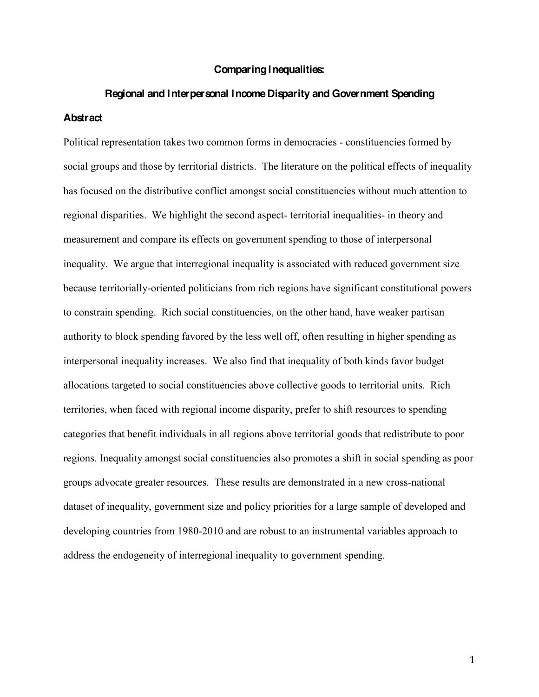#### **Comparing Inequalities:**

# **Regional and Interpersonal Income Disparity and Government Spending Abstract**

Political representation takes two common forms in democracies - constituencies formed by social groups and those by territorial districts. The literature on the political effects of inequality has focused on the distributive conflict amongst social constituencies without much attention to regional disparities. We highlight the second aspect- territorial inequalities- in theory and measurement and compare its effects on government spending to those of interpersonal inequality. We argue that interregional inequality is associated with reduced government size because territorially-oriented politicians from rich regions have significant constitutional powers to constrain spending. Rich social constituencies, on the other hand, have weaker partisan authority to block spending favored by the less well off, often resulting in higher spending as interpersonal inequality increases. We also find that inequality of both kinds favor budget allocations targeted to social constituencies above collective goods to territorial units. Rich territories, when faced with regional income disparity, prefer to shift resources to spending categories that benefit individuals in all regions above territorial goods that redistribute to poor regions. Inequality amongst social constituencies also promotes a shift in social spending as poor groups advocate greater resources. These results are demonstrated in a new cross-national dataset of inequality, government size and policy priorities for a large sample of developed and developing countries from 1980-2010 and are robust to an instrumental variables approach to address the endogeneity of interregional inequality to government spending.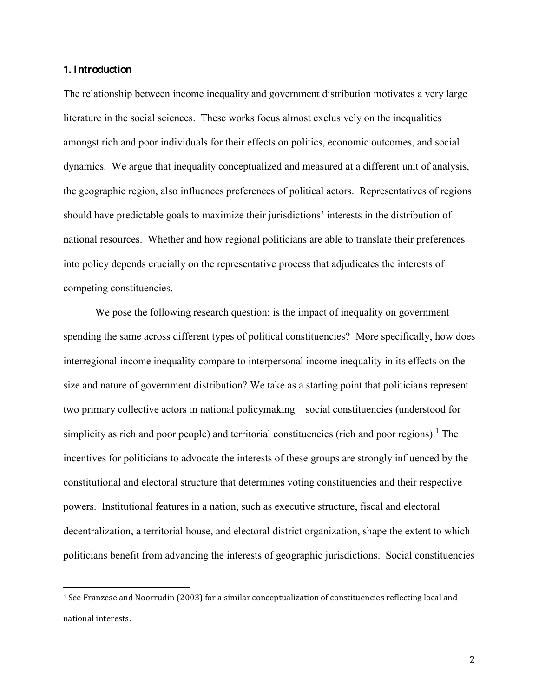#### **1. Introduction**

!!!!!!!!!!!!!!!!!!!!!!!!!!!!!!!!!!!!!!!!!!!!!!!!!!!!!!!

The relationship between income inequality and government distribution motivates a very large literature in the social sciences. These works focus almost exclusively on the inequalities amongst rich and poor individuals for their effects on politics, economic outcomes, and social dynamics. We argue that inequality conceptualized and measured at a different unit of analysis, the geographic region, also influences preferences of political actors. Representatives of regions should have predictable goals to maximize their jurisdictions' interests in the distribution of national resources. Whether and how regional politicians are able to translate their preferences into policy depends crucially on the representative process that adjudicates the interests of competing constituencies.

We pose the following research question: is the impact of inequality on government spending the same across different types of political constituencies? More specifically, how does interregional income inequality compare to interpersonal income inequality in its effects on the size and nature of government distribution? We take as a starting point that politicians represent two primary collective actors in national policymaking—social constituencies (understood for simplicity as rich and poor people) and territorial constituencies (rich and poor regions).<sup>1</sup> The incentives for politicians to advocate the interests of these groups are strongly influenced by the constitutional and electoral structure that determines voting constituencies and their respective powers. Institutional features in a nation, such as executive structure, fiscal and electoral decentralization, a territorial house, and electoral district organization, shape the extent to which politicians benefit from advancing the interests of geographic jurisdictions. Social constituencies

 $1$  See Franzese and Noorrudin (2003) for a similar conceptualization of constituencies reflecting local and national interests.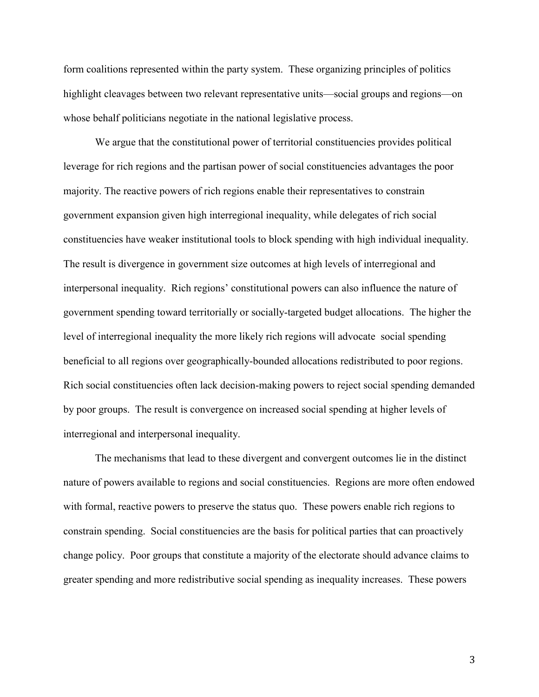form coalitions represented within the party system. These organizing principles of politics highlight cleavages between two relevant representative units—social groups and regions—on whose behalf politicians negotiate in the national legislative process.

We argue that the constitutional power of territorial constituencies provides political leverage for rich regions and the partisan power of social constituencies advantages the poor majority. The reactive powers of rich regions enable their representatives to constrain government expansion given high interregional inequality, while delegates of rich social constituencies have weaker institutional tools to block spending with high individual inequality. The result is divergence in government size outcomes at high levels of interregional and interpersonal inequality. Rich regions' constitutional powers can also influence the nature of government spending toward territorially or socially-targeted budget allocations. The higher the level of interregional inequality the more likely rich regions will advocate social spending beneficial to all regions over geographically-bounded allocations redistributed to poor regions. Rich social constituencies often lack decision-making powers to reject social spending demanded by poor groups. The result is convergence on increased social spending at higher levels of interregional and interpersonal inequality.

The mechanisms that lead to these divergent and convergent outcomes lie in the distinct nature of powers available to regions and social constituencies. Regions are more often endowed with formal, reactive powers to preserve the status quo. These powers enable rich regions to constrain spending. Social constituencies are the basis for political parties that can proactively change policy. Poor groups that constitute a majority of the electorate should advance claims to greater spending and more redistributive social spending as inequality increases. These powers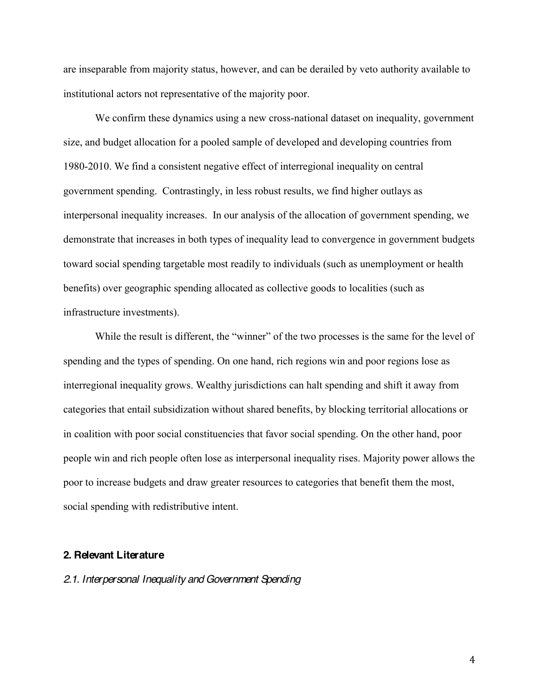are inseparable from majority status, however, and can be derailed by veto authority available to institutional actors not representative of the majority poor.

We confirm these dynamics using a new cross-national dataset on inequality, government size, and budget allocation for a pooled sample of developed and developing countries from 1980-2010. We find a consistent negative effect of interregional inequality on central government spending. Contrastingly, in less robust results, we find higher outlays as interpersonal inequality increases. In our analysis of the allocation of government spending, we demonstrate that increases in both types of inequality lead to convergence in government budgets toward social spending targetable most readily to individuals (such as unemployment or health benefits) over geographic spending allocated as collective goods to localities (such as infrastructure investments).

While the result is different, the "winner" of the two processes is the same for the level of spending and the types of spending. On one hand, rich regions win and poor regions lose as interregional inequality grows. Wealthy jurisdictions can halt spending and shift it away from categories that entail subsidization without shared benefits, by blocking territorial allocations or in coalition with poor social constituencies that favor social spending. On the other hand, poor people win and rich people often lose as interpersonal inequality rises. Majority power allows the poor to increase budgets and draw greater resources to categories that benefit them the most, social spending with redistributive intent.

#### **2. Relevant Literature**

#### *2.1. Interpersonal Inequality and Government Spending*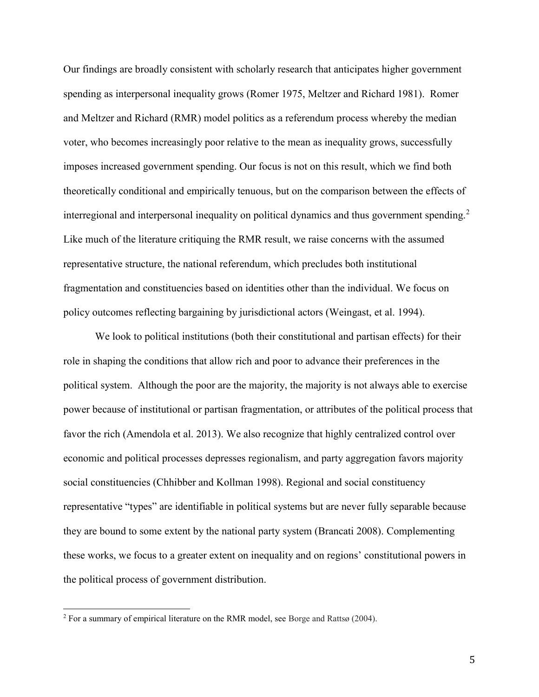Our findings are broadly consistent with scholarly research that anticipates higher government spending as interpersonal inequality grows (Romer 1975, Meltzer and Richard 1981). Romer and Meltzer and Richard (RMR) model politics as a referendum process whereby the median voter, who becomes increasingly poor relative to the mean as inequality grows, successfully imposes increased government spending. Our focus is not on this result, which we find both theoretically conditional and empirically tenuous, but on the comparison between the effects of interregional and interpersonal inequality on political dynamics and thus government spending.<sup>2</sup> Like much of the literature critiquing the RMR result, we raise concerns with the assumed representative structure, the national referendum, which precludes both institutional fragmentation and constituencies based on identities other than the individual. We focus on policy outcomes reflecting bargaining by jurisdictional actors (Weingast, et al. 1994).

We look to political institutions (both their constitutional and partisan effects) for their role in shaping the conditions that allow rich and poor to advance their preferences in the political system. Although the poor are the majority, the majority is not always able to exercise power because of institutional or partisan fragmentation, or attributes of the political process that favor the rich (Amendola et al. 2013). We also recognize that highly centralized control over economic and political processes depresses regionalism, and party aggregation favors majority social constituencies (Chhibber and Kollman 1998). Regional and social constituency representative "types" are identifiable in political systems but are never fully separable because they are bound to some extent by the national party system (Brancati 2008). Complementing these works, we focus to a greater extent on inequality and on regions' constitutional powers in the political process of government distribution.

!!!!!!!!!!!!!!!!!!!!!!!!!!!!!!!!!!!!!!!!!!!!!!!!!!!!!!!

<sup>2</sup> For a summary of empirical literature on the RMR model, see Borge and Rattsø (2004).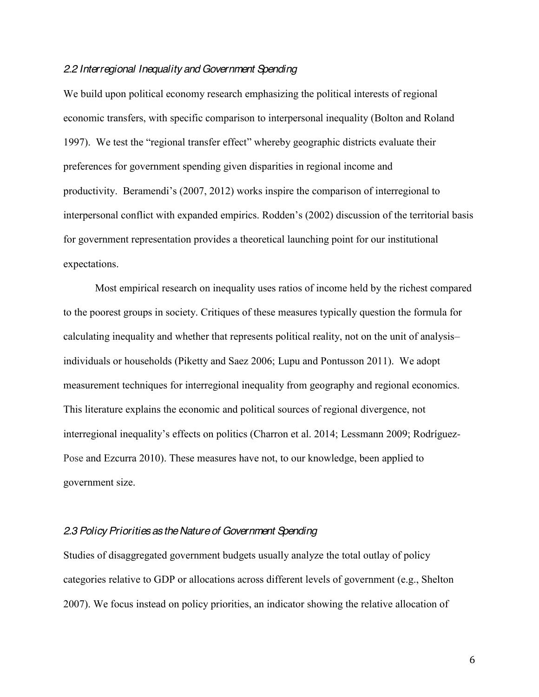#### *2.2 Interregional Inequality and Government Spending*

We build upon political economy research emphasizing the political interests of regional economic transfers, with specific comparison to interpersonal inequality (Bolton and Roland 1997). We test the "regional transfer effect" whereby geographic districts evaluate their preferences for government spending given disparities in regional income and productivity. Beramendi's (2007, 2012) works inspire the comparison of interregional to interpersonal conflict with expanded empirics. Rodden's (2002) discussion of the territorial basis for government representation provides a theoretical launching point for our institutional expectations.

Most empirical research on inequality uses ratios of income held by the richest compared to the poorest groups in society. Critiques of these measures typically question the formula for calculating inequality and whether that represents political reality, not on the unit of analysis individuals or households (Piketty and Saez 2006; Lupu and Pontusson 2011). We adopt measurement techniques for interregional inequality from geography and regional economics. This literature explains the economic and political sources of regional divergence, not interregional inequality's effects on politics (Charron et al. 2014; Lessmann 2009; Rodríguez-Pose and Ezcurra 2010). These measures have not, to our knowledge, been applied to government size.

### *2.3 Policy Priorities as the Nature of Government Spending*

Studies of disaggregated government budgets usually analyze the total outlay of policy categories relative to GDP or allocations across different levels of government (e.g., Shelton 2007). We focus instead on policy priorities, an indicator showing the relative allocation of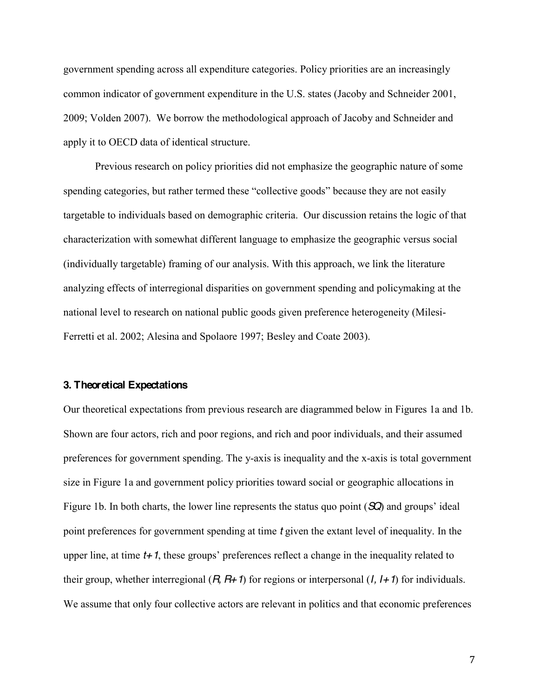government spending across all expenditure categories. Policy priorities are an increasingly common indicator of government expenditure in the U.S. states (Jacoby and Schneider 2001, 2009; Volden 2007). We borrow the methodological approach of Jacoby and Schneider and apply it to OECD data of identical structure.

Previous research on policy priorities did not emphasize the geographic nature of some spending categories, but rather termed these "collective goods" because they are not easily targetable to individuals based on demographic criteria. Our discussion retains the logic of that characterization with somewhat different language to emphasize the geographic versus social (individually targetable) framing of our analysis. With this approach, we link the literature analyzing effects of interregional disparities on government spending and policymaking at the national level to research on national public goods given preference heterogeneity (Milesi-Ferretti et al. 2002; Alesina and Spolaore 1997; Besley and Coate 2003).

#### **3. Theoretical Expectations**

Our theoretical expectations from previous research are diagrammed below in Figures 1a and 1b. Shown are four actors, rich and poor regions, and rich and poor individuals, and their assumed preferences for government spending. The y-axis is inequality and the x-axis is total government size in Figure 1a and government policy priorities toward social or geographic allocations in Figure 1b. In both charts, the lower line represents the status quo point  $(\mathcal{SQ})$  and groups' ideal point preferences for government spending at time *t* given the extant level of inequality. In the upper line, at time  $t+1$ , these groups' preferences reflect a change in the inequality related to their group, whether interregional (*R, R+1*) for regions or interpersonal (*I, I+1*) for individuals. We assume that only four collective actors are relevant in politics and that economic preferences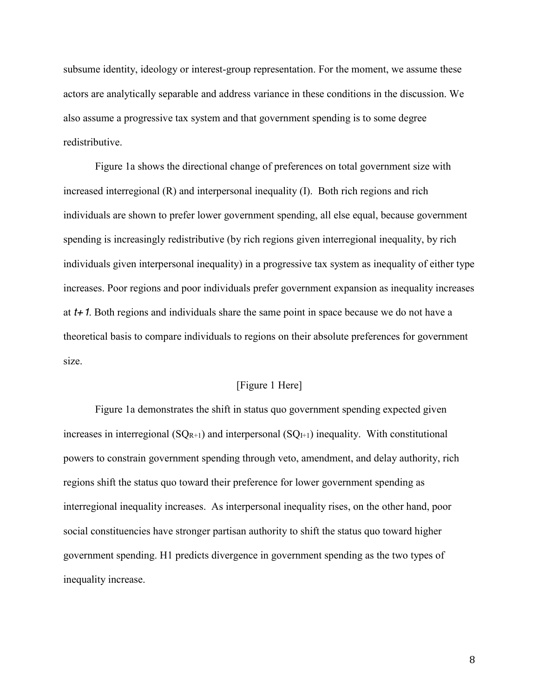subsume identity, ideology or interest-group representation. For the moment, we assume these actors are analytically separable and address variance in these conditions in the discussion. We also assume a progressive tax system and that government spending is to some degree redistributive.

Figure 1a shows the directional change of preferences on total government size with increased interregional (R) and interpersonal inequality (I). Both rich regions and rich individuals are shown to prefer lower government spending, all else equal, because government spending is increasingly redistributive (by rich regions given interregional inequality, by rich individuals given interpersonal inequality) in a progressive tax system as inequality of either type increases. Poor regions and poor individuals prefer government expansion as inequality increases at *t+1*. Both regions and individuals share the same point in space because we do not have a theoretical basis to compare individuals to regions on their absolute preferences for government size.

### [Figure 1 Here]

Figure 1a demonstrates the shift in status quo government spending expected given increases in interregional  $(SQ_{R+1})$  and interpersonal  $(SQ_{I+1})$  inequality. With constitutional powers to constrain government spending through veto, amendment, and delay authority, rich regions shift the status quo toward their preference for lower government spending as interregional inequality increases. As interpersonal inequality rises, on the other hand, poor social constituencies have stronger partisan authority to shift the status quo toward higher government spending. H1 predicts divergence in government spending as the two types of inequality increase.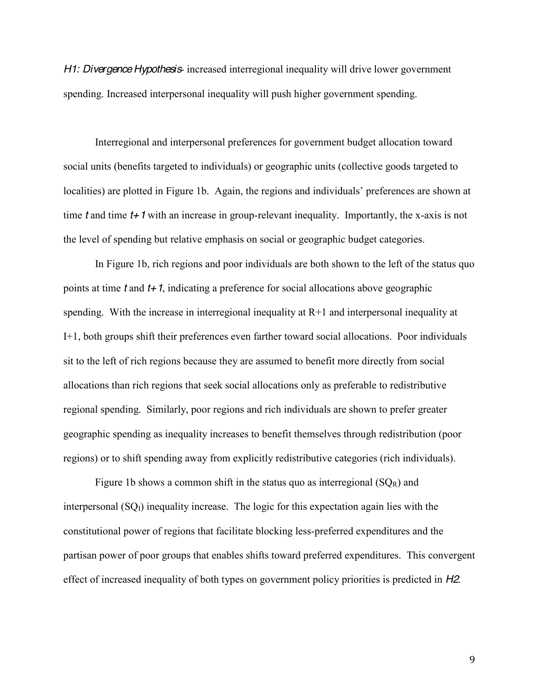*H1: Divergence Hypothesis*- increased interregional inequality will drive lower government spending. Increased interpersonal inequality will push higher government spending.

Interregional and interpersonal preferences for government budget allocation toward social units (benefits targeted to individuals) or geographic units (collective goods targeted to localities) are plotted in Figure 1b. Again, the regions and individuals' preferences are shown at time *t* and time *t+1* with an increase in group-relevant inequality. Importantly, the x-axis is not the level of spending but relative emphasis on social or geographic budget categories.

In Figure 1b, rich regions and poor individuals are both shown to the left of the status quo points at time *t* and *t+1*, indicating a preference for social allocations above geographic spending. With the increase in interregional inequality at R+1 and interpersonal inequality at I+1, both groups shift their preferences even farther toward social allocations. Poor individuals sit to the left of rich regions because they are assumed to benefit more directly from social allocations than rich regions that seek social allocations only as preferable to redistributive regional spending. Similarly, poor regions and rich individuals are shown to prefer greater geographic spending as inequality increases to benefit themselves through redistribution (poor regions) or to shift spending away from explicitly redistributive categories (rich individuals).

Figure 1b shows a common shift in the status quo as interregional  $(SQ_R)$  and interpersonal  $(SQ<sub>I</sub>)$  inequality increase. The logic for this expectation again lies with the constitutional power of regions that facilitate blocking less-preferred expenditures and the partisan power of poor groups that enables shifts toward preferred expenditures. This convergent effect of increased inequality of both types on government policy priorities is predicted in *H2*.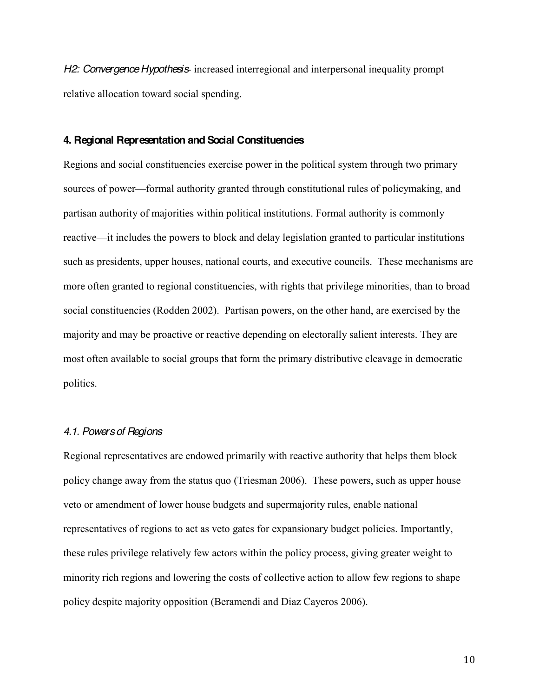*H2: Convergence Hypothesis*- increased interregional and interpersonal inequality prompt relative allocation toward social spending.

### **4. Regional Representation and Social Constituencies**

Regions and social constituencies exercise power in the political system through two primary sources of power—formal authority granted through constitutional rules of policymaking, and partisan authority of majorities within political institutions. Formal authority is commonly reactive—it includes the powers to block and delay legislation granted to particular institutions such as presidents, upper houses, national courts, and executive councils. These mechanisms are more often granted to regional constituencies, with rights that privilege minorities, than to broad social constituencies (Rodden 2002). Partisan powers, on the other hand, are exercised by the majority and may be proactive or reactive depending on electorally salient interests. They are most often available to social groups that form the primary distributive cleavage in democratic politics.

### *4.1. Powers of Regions*

Regional representatives are endowed primarily with reactive authority that helps them block policy change away from the status quo (Triesman 2006). These powers, such as upper house veto or amendment of lower house budgets and supermajority rules, enable national representatives of regions to act as veto gates for expansionary budget policies. Importantly, these rules privilege relatively few actors within the policy process, giving greater weight to minority rich regions and lowering the costs of collective action to allow few regions to shape policy despite majority opposition (Beramendi and Diaz Cayeros 2006).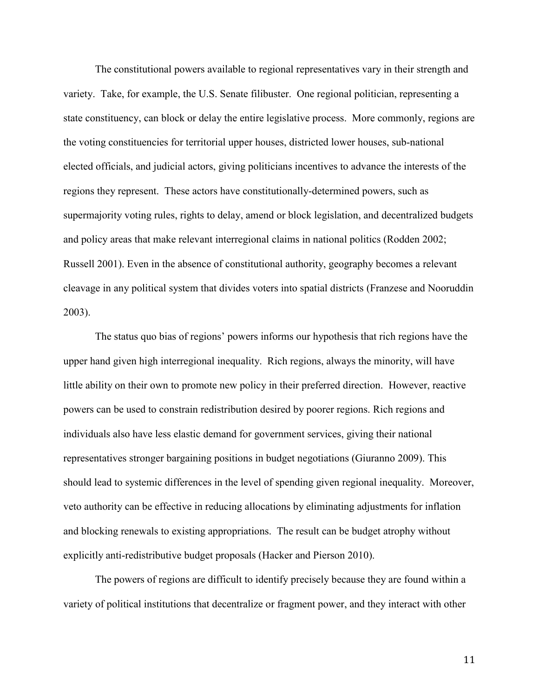The constitutional powers available to regional representatives vary in their strength and variety. Take, for example, the U.S. Senate filibuster. One regional politician, representing a state constituency, can block or delay the entire legislative process. More commonly, regions are the voting constituencies for territorial upper houses, districted lower houses, sub-national elected officials, and judicial actors, giving politicians incentives to advance the interests of the regions they represent. These actors have constitutionally-determined powers, such as supermajority voting rules, rights to delay, amend or block legislation, and decentralized budgets and policy areas that make relevant interregional claims in national politics (Rodden 2002; Russell 2001). Even in the absence of constitutional authority, geography becomes a relevant cleavage in any political system that divides voters into spatial districts (Franzese and Nooruddin 2003).

The status quo bias of regions' powers informs our hypothesis that rich regions have the upper hand given high interregional inequality. Rich regions, always the minority, will have little ability on their own to promote new policy in their preferred direction. However, reactive powers can be used to constrain redistribution desired by poorer regions. Rich regions and individuals also have less elastic demand for government services, giving their national representatives stronger bargaining positions in budget negotiations (Giuranno 2009). This should lead to systemic differences in the level of spending given regional inequality. Moreover, veto authority can be effective in reducing allocations by eliminating adjustments for inflation and blocking renewals to existing appropriations. The result can be budget atrophy without explicitly anti-redistributive budget proposals (Hacker and Pierson 2010).

The powers of regions are difficult to identify precisely because they are found within a variety of political institutions that decentralize or fragment power, and they interact with other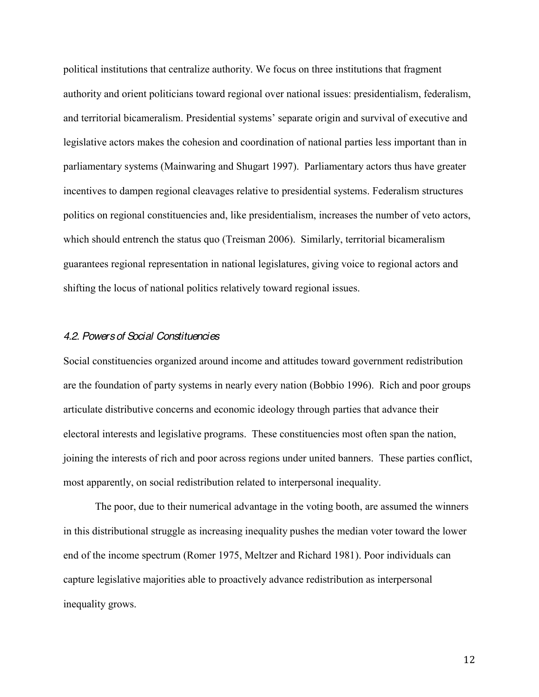political institutions that centralize authority. We focus on three institutions that fragment authority and orient politicians toward regional over national issues: presidentialism, federalism, and territorial bicameralism. Presidential systems' separate origin and survival of executive and legislative actors makes the cohesion and coordination of national parties less important than in parliamentary systems (Mainwaring and Shugart 1997). Parliamentary actors thus have greater incentives to dampen regional cleavages relative to presidential systems. Federalism structures politics on regional constituencies and, like presidentialism, increases the number of veto actors, which should entrench the status quo (Treisman 2006). Similarly, territorial bicameralism guarantees regional representation in national legislatures, giving voice to regional actors and shifting the locus of national politics relatively toward regional issues.

#### *4.2. Powers of Social Constituencies*

Social constituencies organized around income and attitudes toward government redistribution are the foundation of party systems in nearly every nation (Bobbio 1996). Rich and poor groups articulate distributive concerns and economic ideology through parties that advance their electoral interests and legislative programs. These constituencies most often span the nation, joining the interests of rich and poor across regions under united banners. These parties conflict, most apparently, on social redistribution related to interpersonal inequality.

The poor, due to their numerical advantage in the voting booth, are assumed the winners in this distributional struggle as increasing inequality pushes the median voter toward the lower end of the income spectrum (Romer 1975, Meltzer and Richard 1981). Poor individuals can capture legislative majorities able to proactively advance redistribution as interpersonal inequality grows.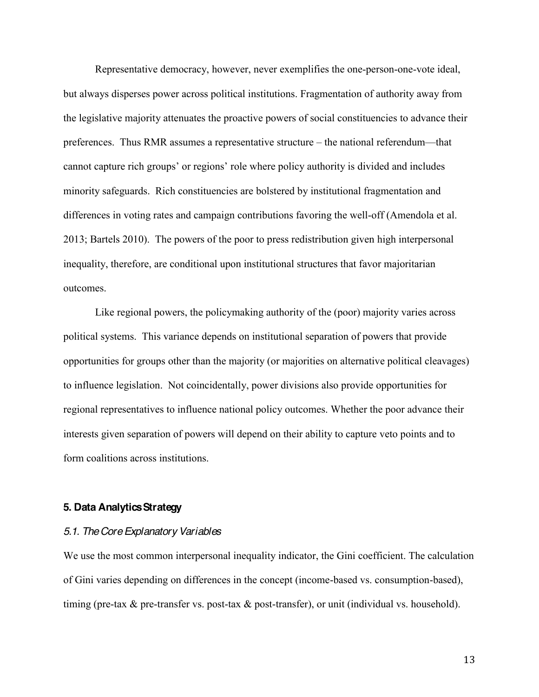Representative democracy, however, never exemplifies the one-person-one-vote ideal, but always disperses power across political institutions. Fragmentation of authority away from the legislative majority attenuates the proactive powers of social constituencies to advance their preferences. Thus RMR assumes a representative structure – the national referendum—that cannot capture rich groups' or regions' role where policy authority is divided and includes minority safeguards. Rich constituencies are bolstered by institutional fragmentation and differences in voting rates and campaign contributions favoring the well-off (Amendola et al. 2013; Bartels 2010). The powers of the poor to press redistribution given high interpersonal inequality, therefore, are conditional upon institutional structures that favor majoritarian outcomes.

Like regional powers, the policymaking authority of the (poor) majority varies across political systems. This variance depends on institutional separation of powers that provide opportunities for groups other than the majority (or majorities on alternative political cleavages) to influence legislation. Not coincidentally, power divisions also provide opportunities for regional representatives to influence national policy outcomes. Whether the poor advance their interests given separation of powers will depend on their ability to capture veto points and to form coalitions across institutions.

#### **5. Data Analytics Strategy**

#### *5.1. The Core Explanatory Variables*

We use the most common interpersonal inequality indicator, the Gini coefficient. The calculation of Gini varies depending on differences in the concept (income-based vs. consumption-based), timing (pre-tax & pre-transfer vs. post-tax & post-transfer), or unit (individual vs. household).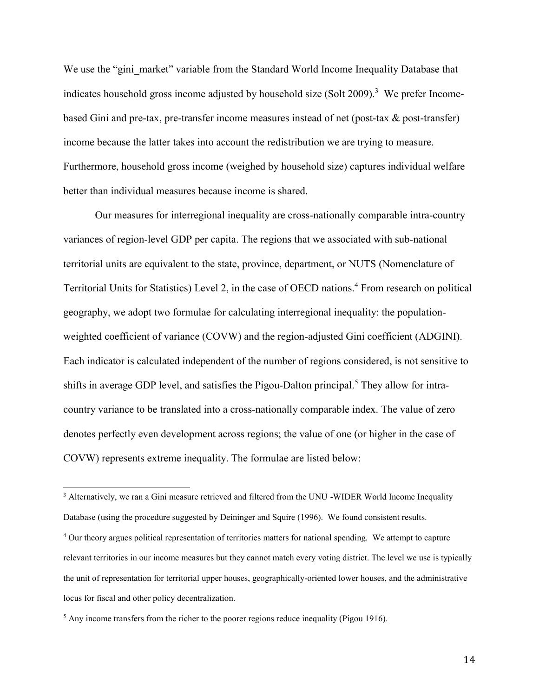We use the "gini market" variable from the Standard World Income Inequality Database that indicates household gross income adjusted by household size (Solt 2009).<sup>3</sup> We prefer Incomebased Gini and pre-tax, pre-transfer income measures instead of net (post-tax & post-transfer) income because the latter takes into account the redistribution we are trying to measure. Furthermore, household gross income (weighed by household size) captures individual welfare better than individual measures because income is shared.

Our measures for interregional inequality are cross-nationally comparable intra-country variances of region-level GDP per capita. The regions that we associated with sub-national territorial units are equivalent to the state, province, department, or NUTS (Nomenclature of Territorial Units for Statistics) Level 2, in the case of OECD nations.<sup>4</sup> From research on political geography, we adopt two formulae for calculating interregional inequality: the populationweighted coefficient of variance (COVW) and the region-adjusted Gini coefficient (ADGINI). Each indicator is calculated independent of the number of regions considered, is not sensitive to shifts in average GDP level, and satisfies the Pigou-Dalton principal.<sup>5</sup> They allow for intracountry variance to be translated into a cross-nationally comparable index. The value of zero denotes perfectly even development across regions; the value of one (or higher in the case of COVW) represents extreme inequality. The formulae are listed below:

!!!!!!!!!!!!!!!!!!!!!!!!!!!!!!!!!!!!!!!!!!!!!!!!!!!!!!!

<sup>&</sup>lt;sup>3</sup> Alternatively, we ran a Gini measure retrieved and filtered from the UNU -WIDER World Income Inequality Database (using the procedure suggested by Deininger and Squire (1996). We found consistent results.

<sup>&</sup>lt;sup>4</sup> Our theory argues political representation of territories matters for national spending. We attempt to capture relevant territories in our income measures but they cannot match every voting district. The level we use is typically the unit of representation for territorial upper houses, geographically-oriented lower houses, and the administrative locus for fiscal and other policy decentralization.

 $<sup>5</sup>$  Any income transfers from the richer to the poorer regions reduce inequality (Pigou 1916).</sup>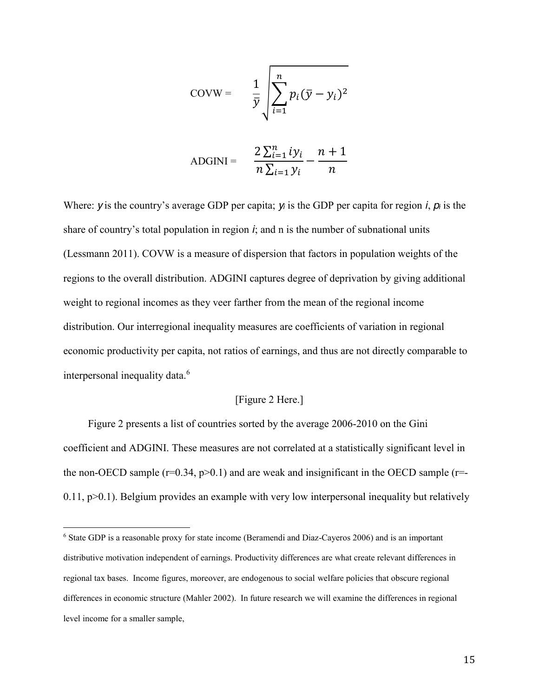$$
COVW = \frac{1}{\bar{y}} \sqrt{\sum_{i=1}^{n} p_i (\bar{y} - y_i)^2}
$$
  
 
$$
ADGINI = \frac{2 \sum_{i=1}^{n} iy_i}{n \sum_{i=1}^{n} y_i} - \frac{n+1}{n}
$$

Where: *y* is the country's average GDP per capita; *y<sub>i</sub>* is the GDP per capita for region *i*,  $p_i$  is the share of country's total population in region  $\dot{i}$ ; and n is the number of subnational units (Lessmann 2011). COVW is a measure of dispersion that factors in population weights of the regions to the overall distribution. ADGINI captures degree of deprivation by giving additional weight to regional incomes as they veer farther from the mean of the regional income distribution. Our interregional inequality measures are coefficients of variation in regional economic productivity per capita, not ratios of earnings, and thus are not directly comparable to interpersonal inequality data. 6

#### [Figure 2 Here.]

Figure 2 presents a list of countries sorted by the average 2006-2010 on the Gini coefficient and ADGINI. These measures are not correlated at a statistically significant level in the non-OECD sample ( $r=0.34$ ,  $p>0.1$ ) and are weak and insignificant in the OECD sample ( $r=$  $0.11$ ,  $p > 0.1$ ). Belgium provides an example with very low interpersonal inequality but relatively

!!!!!!!!!!!!!!!!!!!!!!!!!!!!!!!!!!!!!!!!!!!!!!!!!!!!!!!

<sup>6</sup> State GDP is a reasonable proxy for state income (Beramendi and Diaz-Cayeros 2006) and is an important distributive motivation independent of earnings. Productivity differences are what create relevant differences in regional tax bases. Income figures, moreover, are endogenous to social welfare policies that obscure regional differences in economic structure (Mahler 2002). In future research we will examine the differences in regional level income for a smaller sample,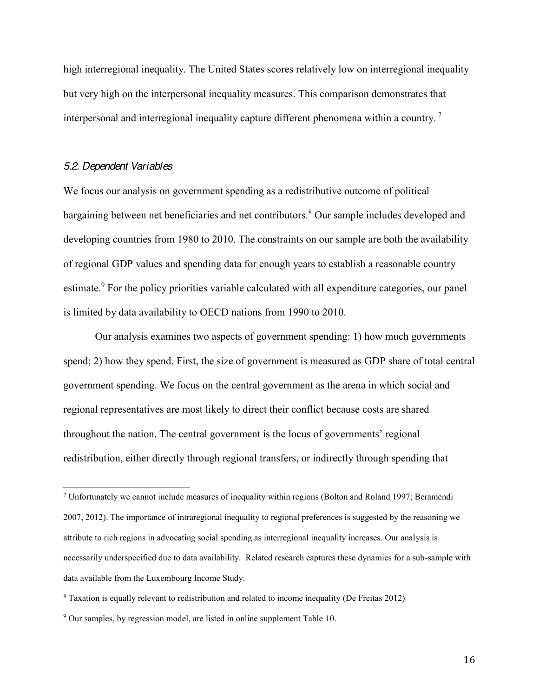high interregional inequality. The United States scores relatively low on interregional inequality but very high on the interpersonal inequality measures. This comparison demonstrates that interpersonal and interregional inequality capture different phenomena within a country. <sup>7</sup>

#### *5.2. Dependent Variables*

!!!!!!!!!!!!!!!!!!!!!!!!!!!!!!!!!!!!!!!!!!!!!!!!!!!!!!!

We focus our analysis on government spending as a redistributive outcome of political bargaining between net beneficiaries and net contributors.<sup>8</sup> Our sample includes developed and developing countries from 1980 to 2010. The constraints on our sample are both the availability of regional GDP values and spending data for enough years to establish a reasonable country estimate.<sup>9</sup> For the policy priorities variable calculated with all expenditure categories, our panel is limited by data availability to OECD nations from 1990 to 2010.

Our analysis examines two aspects of government spending: 1) how much governments spend; 2) how they spend. First, the size of government is measured as GDP share of total central government spending. We focus on the central government as the arena in which social and regional representatives are most likely to direct their conflict because costs are shared throughout the nation. The central government is the locus of governments' regional redistribution, either directly through regional transfers, or indirectly through spending that

<sup>7</sup> Unfortunately we cannot include measures of inequality within regions (Bolton and Roland 1997; Beramendi 2007, 2012). The importance of intraregional inequality to regional preferences is suggested by the reasoning we attribute to rich regions in advocating social spending as interregional inequality increases. Our analysis is necessarily underspecified due to data availability. Related research captures these dynamics for a sub-sample with data available from the Luxembourg Income Study.

<sup>8</sup> Taxation is equally relevant to redistribution and related to income inequality (De Freitas 2012)

<sup>9</sup> Our samples, by regression model, are listed in online supplement Table 10.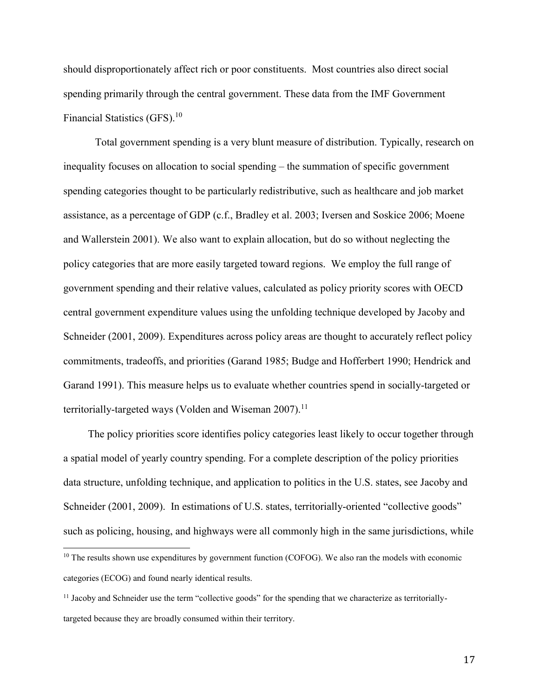should disproportionately affect rich or poor constituents. Most countries also direct social spending primarily through the central government. These data from the IMF Government Financial Statistics (GFS).<sup>10</sup>

Total government spending is a very blunt measure of distribution. Typically, research on inequality focuses on allocation to social spending – the summation of specific government spending categories thought to be particularly redistributive, such as healthcare and job market assistance, as a percentage of GDP (c.f., Bradley et al. 2003; Iversen and Soskice 2006; Moene and Wallerstein 2001). We also want to explain allocation, but do so without neglecting the policy categories that are more easily targeted toward regions. We employ the full range of government spending and their relative values, calculated as policy priority scores with OECD central government expenditure values using the unfolding technique developed by Jacoby and Schneider (2001, 2009). Expenditures across policy areas are thought to accurately reflect policy commitments, tradeoffs, and priorities (Garand 1985; Budge and Hofferbert 1990; Hendrick and Garand 1991). This measure helps us to evaluate whether countries spend in socially-targeted or territorially-targeted ways (Volden and Wiseman  $2007$ ).<sup>11</sup>

The policy priorities score identifies policy categories least likely to occur together through a spatial model of yearly country spending. For a complete description of the policy priorities data structure, unfolding technique, and application to politics in the U.S. states, see Jacoby and Schneider (2001, 2009). In estimations of U.S. states, territorially-oriented "collective goods" such as policing, housing, and highways were all commonly high in the same jurisdictions, while

!!!!!!!!!!!!!!!!!!!!!!!!!!!!!!!!!!!!!!!!!!!!!!!!!!!!!!!

<sup>&</sup>lt;sup>10</sup> The results shown use expenditures by government function (COFOG). We also ran the models with economic categories (ECOG) and found nearly identical results.

 $11$  Jacobv and Schneider use the term "collective goods" for the spending that we characterize as territoriallytargeted because they are broadly consumed within their territory.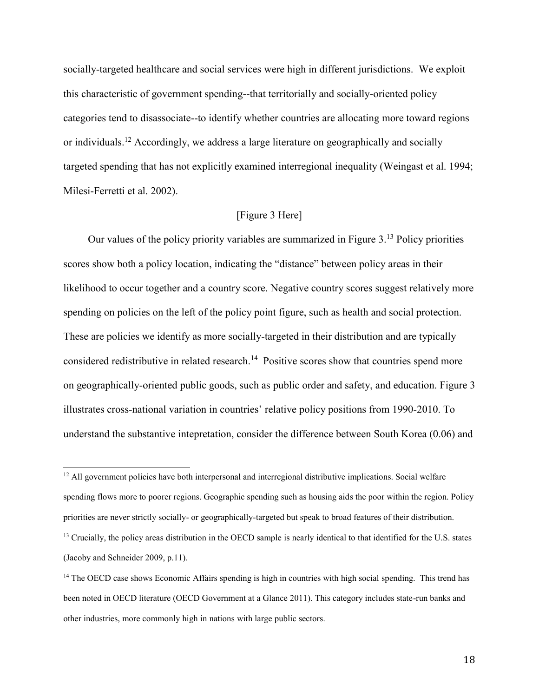socially-targeted healthcare and social services were high in different jurisdictions. We exploit this characteristic of government spending--that territorially and socially-oriented policy categories tend to disassociate--to identify whether countries are allocating more toward regions or individuals.<sup>12</sup> Accordingly, we address a large literature on geographically and socially targeted spending that has not explicitly examined interregional inequality (Weingast et al. 1994; Milesi-Ferretti et al. 2002).

#### [Figure 3 Here]

Our values of the policy priority variables are summarized in Figure 3. <sup>13</sup> Policy priorities scores show both a policy location, indicating the "distance" between policy areas in their likelihood to occur together and a country score. Negative country scores suggest relatively more spending on policies on the left of the policy point figure, such as health and social protection. These are policies we identify as more socially-targeted in their distribution and are typically considered redistributive in related research.<sup>14</sup> Positive scores show that countries spend more on geographically-oriented public goods, such as public order and safety, and education. Figure 3 illustrates cross-national variation in countries' relative policy positions from 1990-2010. To understand the substantive intepretation, consider the difference between South Korea (0.06) and

!!!!!!!!!!!!!!!!!!!!!!!!!!!!!!!!!!!!!!!!!!!!!!!!!!!!!!!

 $12$  All government policies have both interpersonal and interregional distributive implications. Social welfare spending flows more to poorer regions. Geographic spending such as housing aids the poor within the region. Policy priorities are never strictly socially- or geographically-targeted but speak to broad features of their distribution.

<sup>&</sup>lt;sup>13</sup> Crucially, the policy areas distribution in the OECD sample is nearly identical to that identified for the U.S. states (Jacoby and Schneider 2009, p.11).

<sup>&</sup>lt;sup>14</sup> The OECD case shows Economic Affairs spending is high in countries with high social spending. This trend has been noted in OECD literature (OECD Government at a Glance 2011). This category includes state-run banks and other industries, more commonly high in nations with large public sectors.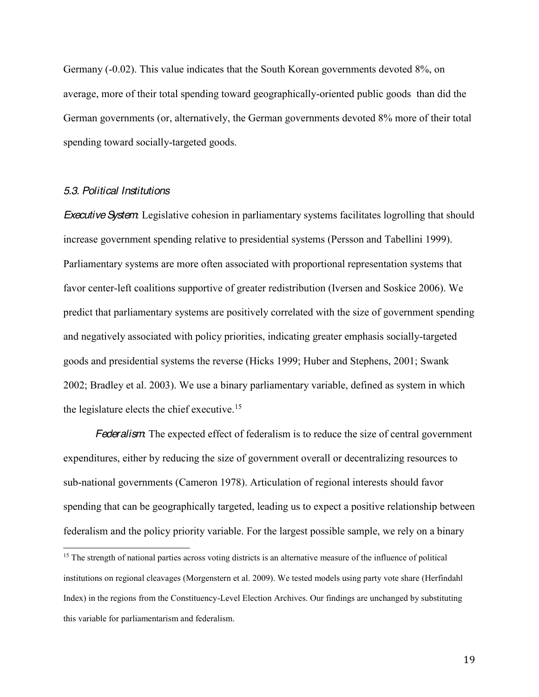Germany (-0.02). This value indicates that the South Korean governments devoted 8%, on average, more of their total spending toward geographically-oriented public goods than did the German governments (or, alternatively, the German governments devoted 8% more of their total spending toward socially-targeted goods.

#### *5.3. Political Institutions*

!!!!!!!!!!!!!!!!!!!!!!!!!!!!!!!!!!!!!!!!!!!!!!!!!!!!!!!

*Executive System*: Legislative cohesion in parliamentary systems facilitates logrolling that should increase government spending relative to presidential systems (Persson and Tabellini 1999). Parliamentary systems are more often associated with proportional representation systems that favor center-left coalitions supportive of greater redistribution (Iversen and Soskice 2006). We predict that parliamentary systems are positively correlated with the size of government spending and negatively associated with policy priorities, indicating greater emphasis socially-targeted goods and presidential systems the reverse (Hicks 1999; Huber and Stephens, 2001; Swank 2002; Bradley et al. 2003). We use a binary parliamentary variable, defined as system in which the legislature elects the chief executive.<sup>15</sup>

*Federalism*: The expected effect of federalism is to reduce the size of central government expenditures, either by reducing the size of government overall or decentralizing resources to sub-national governments (Cameron 1978). Articulation of regional interests should favor spending that can be geographically targeted, leading us to expect a positive relationship between federalism and the policy priority variable. For the largest possible sample, we rely on a binary

<sup>&</sup>lt;sup>15</sup> The strength of national parties across voting districts is an alternative measure of the influence of political institutions on regional cleavages (Morgenstern et al. 2009). We tested models using party vote share (Herfindahl Index) in the regions from the Constituency-Level Election Archives. Our findings are unchanged by substituting this variable for parliamentarism and federalism.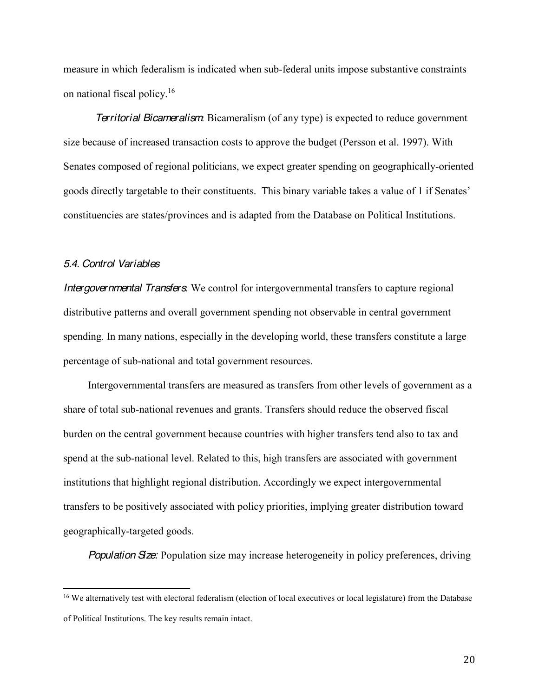measure in which federalism is indicated when sub-federal units impose substantive constraints on national fiscal policy.16

*Territorial Bicameralism*: Bicameralism (of any type) is expected to reduce government size because of increased transaction costs to approve the budget (Persson et al. 1997). With Senates composed of regional politicians, we expect greater spending on geographically-oriented goods directly targetable to their constituents. This binary variable takes a value of 1 if Senates' constituencies are states/provinces and is adapted from the Database on Political Institutions.

### *5.4. Control Variables*

!!!!!!!!!!!!!!!!!!!!!!!!!!!!!!!!!!!!!!!!!!!!!!!!!!!!!!!

*Intergovernmental Transfers*: We control for intergovernmental transfers to capture regional distributive patterns and overall government spending not observable in central government spending. In many nations, especially in the developing world, these transfers constitute a large percentage of sub-national and total government resources.

Intergovernmental transfers are measured as transfers from other levels of government as a share of total sub-national revenues and grants. Transfers should reduce the observed fiscal burden on the central government because countries with higher transfers tend also to tax and spend at the sub-national level. Related to this, high transfers are associated with government institutions that highlight regional distribution. Accordingly we expect intergovernmental transfers to be positively associated with policy priorities, implying greater distribution toward geographically-targeted goods.

*Population Size:* Population size may increase heterogeneity in policy preferences, driving

<sup>&</sup>lt;sup>16</sup> We alternatively test with electoral federalism (election of local executives or local legislature) from the Database of Political Institutions. The key results remain intact.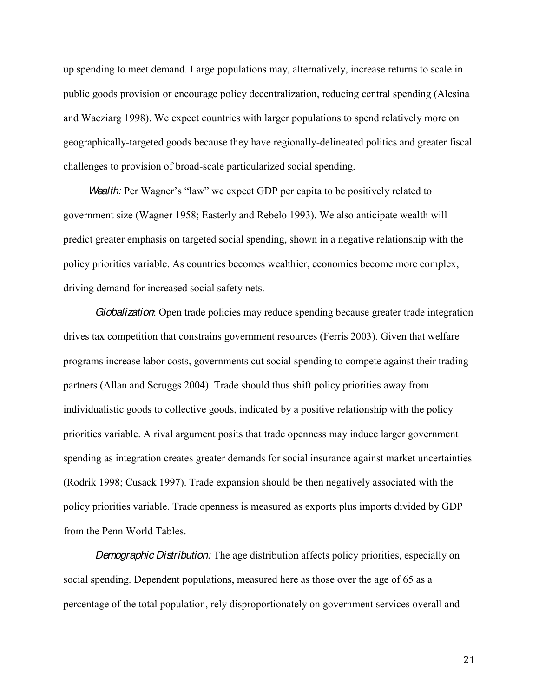up spending to meet demand. Large populations may, alternatively, increase returns to scale in public goods provision or encourage policy decentralization, reducing central spending (Alesina and Wacziarg 1998). We expect countries with larger populations to spend relatively more on geographically-targeted goods because they have regionally-delineated politics and greater fiscal challenges to provision of broad-scale particularized social spending.

*Wealth:* Per Wagner's "law" we expect GDP per capita to be positively related to government size (Wagner 1958; Easterly and Rebelo 1993). We also anticipate wealth will predict greater emphasis on targeted social spending, shown in a negative relationship with the policy priorities variable. As countries becomes wealthier, economies become more complex, driving demand for increased social safety nets.

*Globalization*: Open trade policies may reduce spending because greater trade integration drives tax competition that constrains government resources (Ferris 2003). Given that welfare programs increase labor costs, governments cut social spending to compete against their trading partners (Allan and Scruggs 2004). Trade should thus shift policy priorities away from individualistic goods to collective goods, indicated by a positive relationship with the policy priorities variable. A rival argument posits that trade openness may induce larger government spending as integration creates greater demands for social insurance against market uncertainties (Rodrik 1998; Cusack 1997). Trade expansion should be then negatively associated with the policy priorities variable. Trade openness is measured as exports plus imports divided by GDP from the Penn World Tables.

*Demographic Distribution:* The age distribution affects policy priorities, especially on social spending. Dependent populations, measured here as those over the age of 65 as a percentage of the total population, rely disproportionately on government services overall and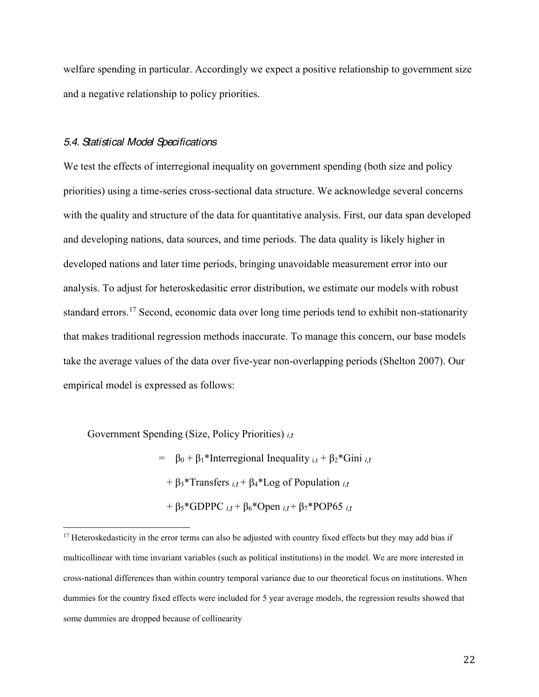welfare spending in particular. Accordingly we expect a positive relationship to government size and a negative relationship to policy priorities.

### *5.4. Statistical Model Specifications*

We test the effects of interregional inequality on government spending (both size and policy priorities) using a time-series cross-sectional data structure. We acknowledge several concerns with the quality and structure of the data for quantitative analysis. First, our data span developed and developing nations, data sources, and time periods. The data quality is likely higher in developed nations and later time periods, bringing unavoidable measurement error into our analysis. To adjust for heteroskedasitic error distribution, we estimate our models with robust standard errors.<sup>17</sup> Second, economic data over long time periods tend to exhibit non-stationarity that makes traditional regression methods inaccurate. To manage this concern, our base models take the average values of the data over five-year non-overlapping periods (Shelton 2007). Our empirical model is expressed as follows:

Government Spending (Size, Policy Priorities) *i,t*

!!!!!!!!!!!!!!!!!!!!!!!!!!!!!!!!!!!!!!!!!!!!!!!!!!!!!!!

 $= \beta_0 + \beta_1*$ Interregional Inequality i<sub>t</sub> +  $\beta_2*$ Gini *i<sub>t</sub>*  $+ \beta_3$ <sup>\*</sup>Transfers  $i_t + \beta_4$ <sup>\*</sup>Log of Population  $i_t$  $+ \beta_5*GDPPC$   $i,t + \beta_6*Open$   $i,t + \beta_7*POP65$   $i,t$ 

 $17$  Heteroskedasticity in the error terms can also be adjusted with country fixed effects but they may add bias if multicollinear with time invariant variables (such as political institutions) in the model. We are more interested in cross-national differences than within country temporal variance due to our theoretical focus on institutions. When dummies for the country fixed effects were included for 5 year average models, the regression results showed that some dummies are dropped because of collinearity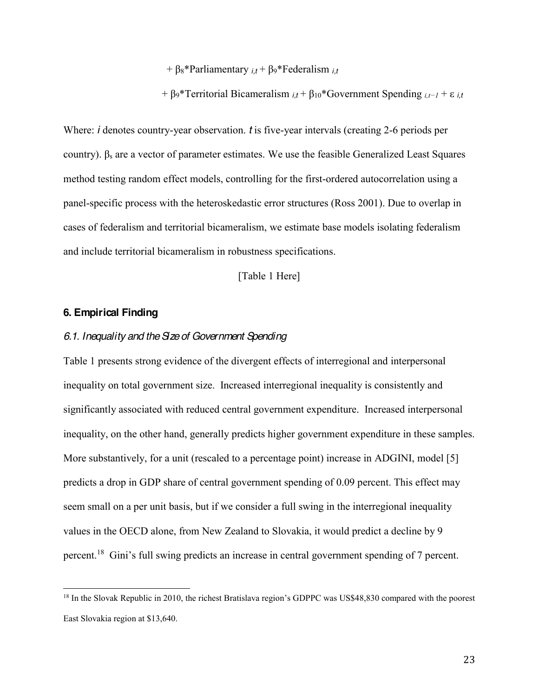+ β<sub>8</sub>\*Parliamentary *i,t* + β<sub>9</sub>\*Federalism *i,t* 

+  $\beta$ <sup>\*</sup>Territorial Bicameralism  $i_t$ <sup>+</sup>  $\beta$ <sub>10</sub>\*Government Spending  $i_{t}$ <sup>+</sup>  $\epsilon$   $i_t$ 

Where: *i* denotes country-year observation. *t* is five-year intervals (creating 2-6 periods per country).  $\beta_s$  are a vector of parameter estimates. We use the feasible Generalized Least Squares method testing random effect models, controlling for the first-ordered autocorrelation using a panel-specific process with the heteroskedastic error structures (Ross 2001). Due to overlap in cases of federalism and territorial bicameralism, we estimate base models isolating federalism and include territorial bicameralism in robustness specifications.

[Table 1 Here]

### **6. Empirical Finding**

!!!!!!!!!!!!!!!!!!!!!!!!!!!!!!!!!!!!!!!!!!!!!!!!!!!!!!!

### *6.1. Inequality and the Size of Government Spending*

Table 1 presents strong evidence of the divergent effects of interregional and interpersonal inequality on total government size. Increased interregional inequality is consistently and significantly associated with reduced central government expenditure. Increased interpersonal inequality, on the other hand, generally predicts higher government expenditure in these samples. More substantively, for a unit (rescaled to a percentage point) increase in ADGINI, model [5] predicts a drop in GDP share of central government spending of 0.09 percent. This effect may seem small on a per unit basis, but if we consider a full swing in the interregional inequality values in the OECD alone, from New Zealand to Slovakia, it would predict a decline by 9 percent.<sup>18</sup> Gini's full swing predicts an increase in central government spending of 7 percent.

<sup>&</sup>lt;sup>18</sup> In the Slovak Republic in 2010, the richest Bratislava region's GDPPC was US\$48,830 compared with the poorest East Slovakia region at \$13,640.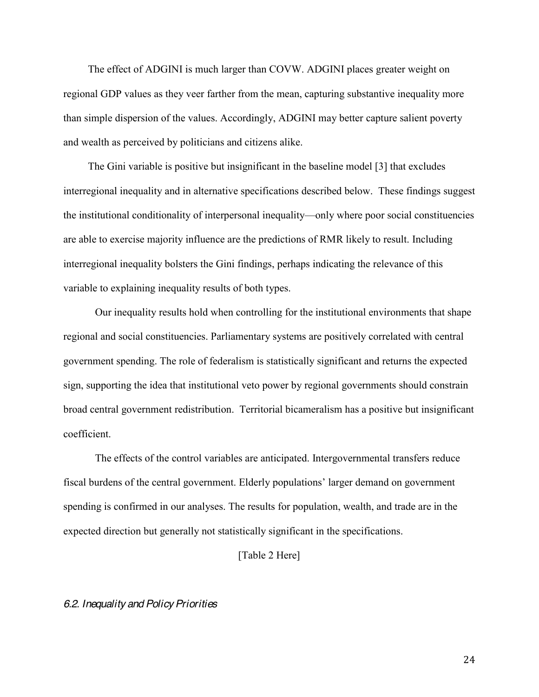The effect of ADGINI is much larger than COVW. ADGINI places greater weight on regional GDP values as they veer farther from the mean, capturing substantive inequality more than simple dispersion of the values. Accordingly, ADGINI may better capture salient poverty and wealth as perceived by politicians and citizens alike.

The Gini variable is positive but insignificant in the baseline model [3] that excludes interregional inequality and in alternative specifications described below. These findings suggest the institutional conditionality of interpersonal inequality—only where poor social constituencies are able to exercise majority influence are the predictions of RMR likely to result. Including interregional inequality bolsters the Gini findings, perhaps indicating the relevance of this variable to explaining inequality results of both types.

Our inequality results hold when controlling for the institutional environments that shape regional and social constituencies. Parliamentary systems are positively correlated with central government spending. The role of federalism is statistically significant and returns the expected sign, supporting the idea that institutional veto power by regional governments should constrain broad central government redistribution. Territorial bicameralism has a positive but insignificant coefficient.

The effects of the control variables are anticipated. Intergovernmental transfers reduce fiscal burdens of the central government. Elderly populations' larger demand on government spending is confirmed in our analyses. The results for population, wealth, and trade are in the expected direction but generally not statistically significant in the specifications.

[Table 2 Here]

#### *6.2. Inequality and Policy Priorities*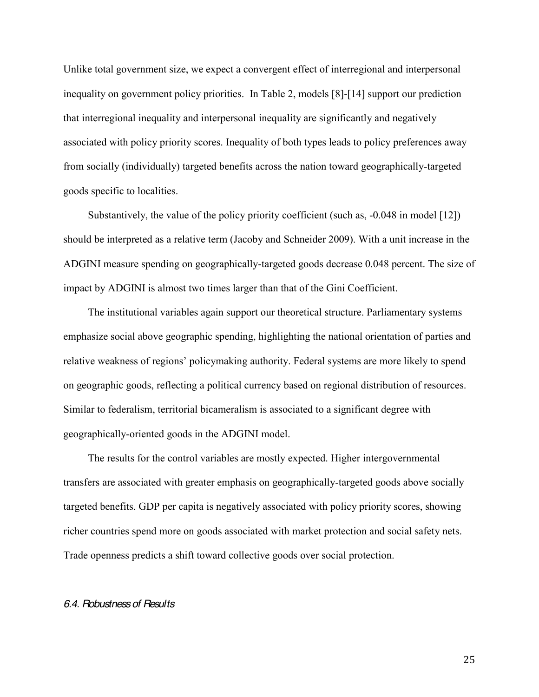Unlike total government size, we expect a convergent effect of interregional and interpersonal inequality on government policy priorities. In Table 2, models [8]-[14] support our prediction that interregional inequality and interpersonal inequality are significantly and negatively associated with policy priority scores. Inequality of both types leads to policy preferences away from socially (individually) targeted benefits across the nation toward geographically-targeted goods specific to localities.

Substantively, the value of the policy priority coefficient (such as, -0.048 in model [12]) should be interpreted as a relative term (Jacoby and Schneider 2009). With a unit increase in the ADGINI measure spending on geographically-targeted goods decrease 0.048 percent. The size of impact by ADGINI is almost two times larger than that of the Gini Coefficient.

The institutional variables again support our theoretical structure. Parliamentary systems emphasize social above geographic spending, highlighting the national orientation of parties and relative weakness of regions' policymaking authority. Federal systems are more likely to spend on geographic goods, reflecting a political currency based on regional distribution of resources. Similar to federalism, territorial bicameralism is associated to a significant degree with geographically-oriented goods in the ADGINI model.

The results for the control variables are mostly expected. Higher intergovernmental transfers are associated with greater emphasis on geographically-targeted goods above socially targeted benefits. GDP per capita is negatively associated with policy priority scores, showing richer countries spend more on goods associated with market protection and social safety nets. Trade openness predicts a shift toward collective goods over social protection.

#### *6.4. Robustness of Results*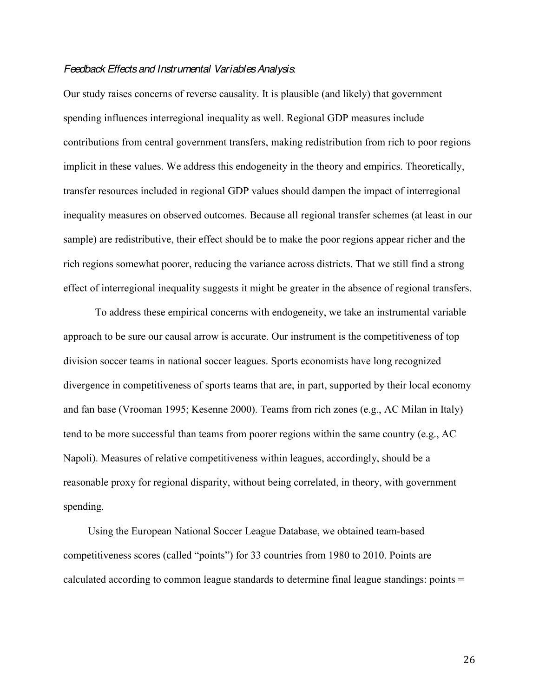### *Feedback Effects and Instrumental Variables Analysis*:

Our study raises concerns of reverse causality. It is plausible (and likely) that government spending influences interregional inequality as well. Regional GDP measures include contributions from central government transfers, making redistribution from rich to poor regions implicit in these values. We address this endogeneity in the theory and empirics. Theoretically, transfer resources included in regional GDP values should dampen the impact of interregional inequality measures on observed outcomes. Because all regional transfer schemes (at least in our sample) are redistributive, their effect should be to make the poor regions appear richer and the rich regions somewhat poorer, reducing the variance across districts. That we still find a strong effect of interregional inequality suggests it might be greater in the absence of regional transfers.

To address these empirical concerns with endogeneity, we take an instrumental variable approach to be sure our causal arrow is accurate. Our instrument is the competitiveness of top division soccer teams in national soccer leagues. Sports economists have long recognized divergence in competitiveness of sports teams that are, in part, supported by their local economy and fan base (Vrooman 1995; Kesenne 2000). Teams from rich zones (e.g., AC Milan in Italy) tend to be more successful than teams from poorer regions within the same country (e.g., AC Napoli). Measures of relative competitiveness within leagues, accordingly, should be a reasonable proxy for regional disparity, without being correlated, in theory, with government spending.

Using the European National Soccer League Database, we obtained team-based competitiveness scores (called "points") for 33 countries from 1980 to 2010. Points are calculated according to common league standards to determine final league standings: points =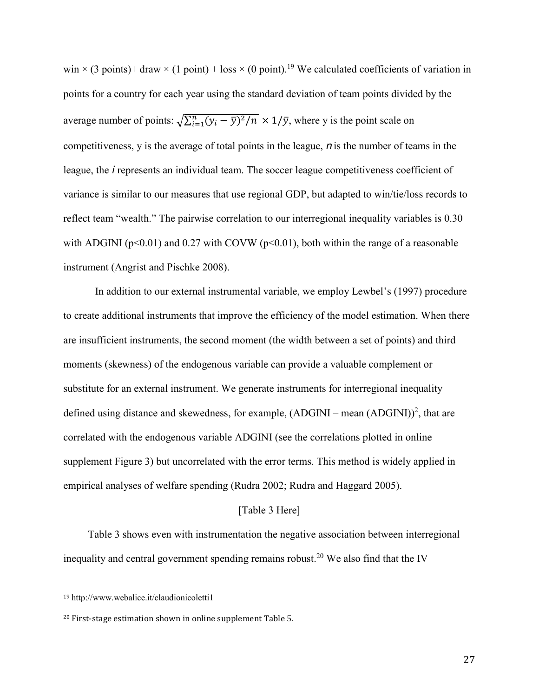win  $\times$  (3 points)+ draw  $\times$  (1 point) + loss  $\times$  (0 point).<sup>19</sup> We calculated coefficients of variation in points for a country for each year using the standard deviation of team points divided by the average number of points:  $\sqrt{\sum_{i=1}^{n} (y_i - \bar{y})^2/n} \times 1/\bar{y}$ , where y is the point scale on competitiveness, y is the average of total points in the league, *n* is the number of teams in the league, the *i* represents an individual team. The soccer league competitiveness coefficient of variance is similar to our measures that use regional GDP, but adapted to win/tie/loss records to reflect team "wealth." The pairwise correlation to our interregional inequality variables is 0.30 with ADGINI ( $p<0.01$ ) and 0.27 with COVW ( $p<0.01$ ), both within the range of a reasonable instrument (Angrist and Pischke 2008).

In addition to our external instrumental variable, we employ Lewbel's (1997) procedure to create additional instruments that improve the efficiency of the model estimation. When there are insufficient instruments, the second moment (the width between a set of points) and third moments (skewness) of the endogenous variable can provide a valuable complement or substitute for an external instrument. We generate instruments for interregional inequality defined using distance and skewedness, for example,  $(ADGINI - mean (ADGINI))^2$ , that are correlated with the endogenous variable ADGINI (see the correlations plotted in online supplement Figure 3) but uncorrelated with the error terms. This method is widely applied in empirical analyses of welfare spending (Rudra 2002; Rudra and Haggard 2005).

#### [Table 3 Here]

Table 3 shows even with instrumentation the negative association between interregional inequality and central government spending remains robust.<sup>20</sup> We also find that the IV

!!!!!!!!!!!!!!!!!!!!!!!!!!!!!!!!!!!!!!!!!!!!!!!!!!!!!!!

<sup>19</sup> http://www.webalice.it/claudionicoletti1

 $20$  First-stage estimation shown in online supplement Table 5.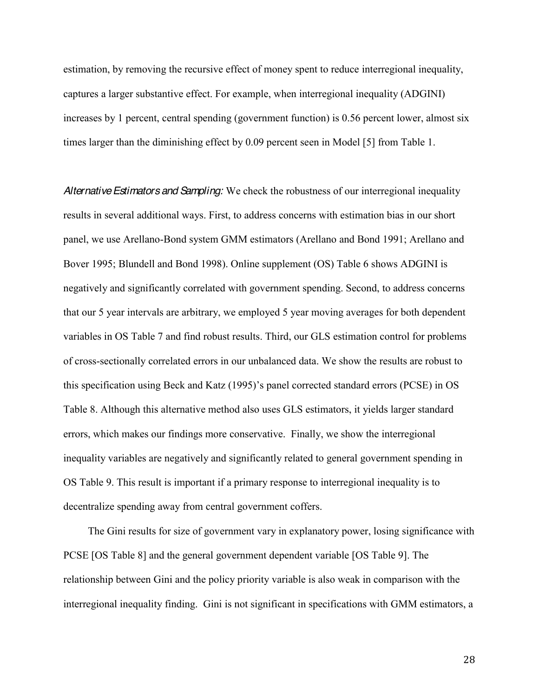estimation, by removing the recursive effect of money spent to reduce interregional inequality, captures a larger substantive effect. For example, when interregional inequality (ADGINI) increases by 1 percent, central spending (government function) is 0.56 percent lower, almost six times larger than the diminishing effect by 0.09 percent seen in Model [5] from Table 1.

*AlternativeEstimators and Sampling:* We check the robustness of our interregional inequality results in several additional ways. First, to address concerns with estimation bias in our short panel, we use Arellano-Bond system GMM estimators (Arellano and Bond 1991; Arellano and Bover 1995; Blundell and Bond 1998). Online supplement (OS) Table 6 shows ADGINI is negatively and significantly correlated with government spending. Second, to address concerns that our 5 year intervals are arbitrary, we employed 5 year moving averages for both dependent variables in OS Table 7 and find robust results. Third, our GLS estimation control for problems of cross-sectionally correlated errors in our unbalanced data. We show the results are robust to this specification using Beck and Katz  $(1995)$ 's panel corrected standard errors (PCSE) in OS Table 8. Although this alternative method also uses GLS estimators, it yields larger standard errors, which makes our findings more conservative. Finally, we show the interregional inequality variables are negatively and significantly related to general government spending in OS Table 9. This result is important if a primary response to interregional inequality is to decentralize spending away from central government coffers.

The Gini results for size of government vary in explanatory power, losing significance with PCSE [OS Table 8] and the general government dependent variable [OS Table 9]. The relationship between Gini and the policy priority variable is also weak in comparison with the interregional inequality finding. Gini is not significant in specifications with GMM estimators, a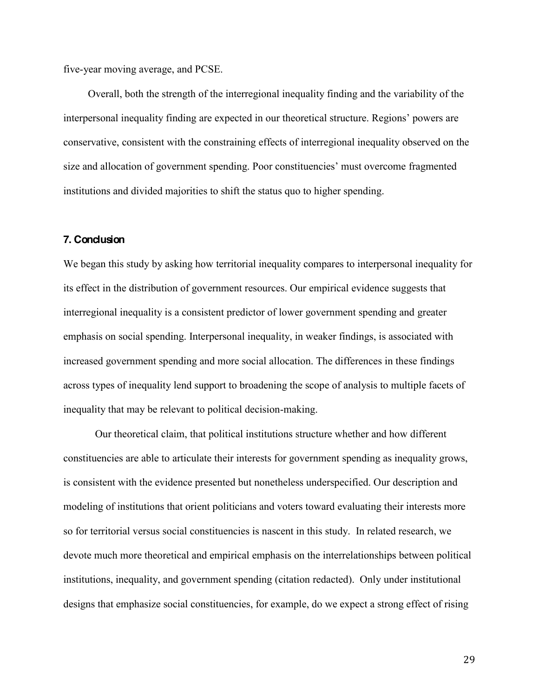five-year moving average, and PCSE.

Overall, both the strength of the interregional inequality finding and the variability of the interpersonal inequality finding are expected in our theoretical structure. Regions' powers are conservative, consistent with the constraining effects of interregional inequality observed on the size and allocation of government spending. Poor constituencies' must overcome fragmented institutions and divided majorities to shift the status quo to higher spending.

#### **7. Conclusion**

We began this study by asking how territorial inequality compares to interpersonal inequality for its effect in the distribution of government resources. Our empirical evidence suggests that interregional inequality is a consistent predictor of lower government spending and greater emphasis on social spending. Interpersonal inequality, in weaker findings, is associated with increased government spending and more social allocation. The differences in these findings across types of inequality lend support to broadening the scope of analysis to multiple facets of inequality that may be relevant to political decision-making.

Our theoretical claim, that political institutions structure whether and how different constituencies are able to articulate their interests for government spending as inequality grows, is consistent with the evidence presented but nonetheless underspecified. Our description and modeling of institutions that orient politicians and voters toward evaluating their interests more so for territorial versus social constituencies is nascent in this study. In related research, we devote much more theoretical and empirical emphasis on the interrelationships between political institutions, inequality, and government spending (citation redacted). Only under institutional designs that emphasize social constituencies, for example, do we expect a strong effect of rising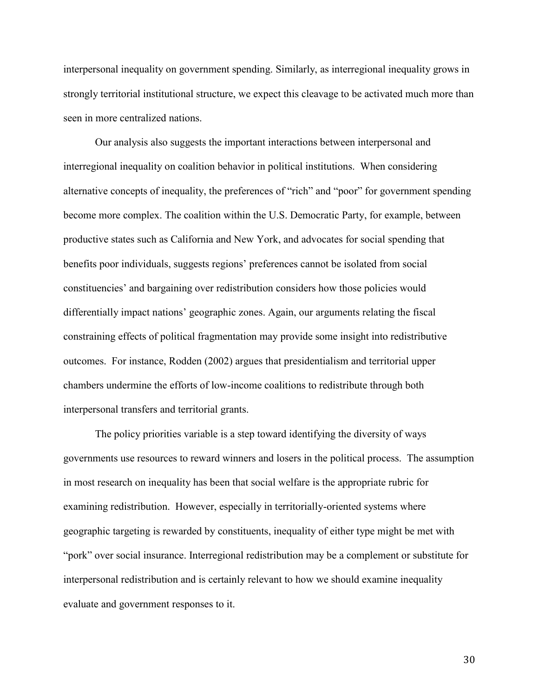interpersonal inequality on government spending. Similarly, as interregional inequality grows in strongly territorial institutional structure, we expect this cleavage to be activated much more than seen in more centralized nations.

Our analysis also suggests the important interactions between interpersonal and interregional inequality on coalition behavior in political institutions. When considering alternative concepts of inequality, the preferences of "rich" and "poor" for government spending become more complex. The coalition within the U.S. Democratic Party, for example, between productive states such as California and New York, and advocates for social spending that benefits poor individuals, suggests regions' preferences cannot be isolated from social constituencies' and bargaining over redistribution considers how those policies would differentially impact nations' geographic zones. Again, our arguments relating the fiscal constraining effects of political fragmentation may provide some insight into redistributive outcomes. For instance, Rodden (2002) argues that presidentialism and territorial upper chambers undermine the efforts of low-income coalitions to redistribute through both interpersonal transfers and territorial grants.

The policy priorities variable is a step toward identifying the diversity of ways governments use resources to reward winners and losers in the political process. The assumption in most research on inequality has been that social welfare is the appropriate rubric for examining redistribution. However, especially in territorially-oriented systems where geographic targeting is rewarded by constituents, inequality of either type might be met with "pork" over social insurance. Interregional redistribution may be a complement or substitute for interpersonal redistribution and is certainly relevant to how we should examine inequality evaluate and government responses to it.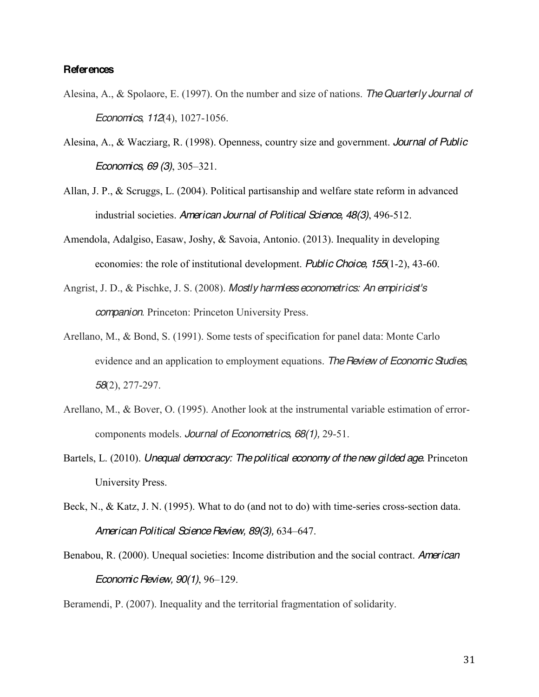### **References**

- Alesina, A., & Spolaore, E. (1997). On the number and size of nations. *The Quarterly Journal of Economics*, *112*(4), 1027-1056.
- Alesina, A., & Wacziarg, R. (1998). Openness, country size and government. *Journal of Public Economics, 69 (3)*, 305–321.
- Allan, J. P., & Scruggs, L. (2004). Political partisanship and welfare state reform in advanced industrial societies. *American Journal of Political Science, 48(3)*, 496-512.
- Amendola, Adalgiso, Easaw, Joshy, & Savoia, Antonio. (2013). Inequality in developing economies: the role of institutional development. *Public Choice, 155*(1-2), 43-60.
- Angrist, J. D., & Pischke, J. S. (2008). *Mostly harmless econometrics: An empiricist's companion*. Princeton: Princeton University Press.
- Arellano, M., & Bond, S. (1991). Some tests of specification for panel data: Monte Carlo evidence and an application to employment equations. *The Review of Economic Studies*, *58*(2), 277-297.
- Arellano, M., & Bover, O. (1995). Another look at the instrumental variable estimation of errorcomponents models. *Journal of Econometrics, 68(1),* 29-51.
- Bartels, L. (2010). *Unequal democracy: The political economy of the new gilded age.* Princeton University Press.
- Beck, N., & Katz, J. N. (1995). What to do (and not to do) with time-series cross-section data. *American Political Science Review, 89(3), 634-647.*
- Benabou, R. (2000). Unequal societies: Income distribution and the social contract. *American Economic Review, 90(1)*, 96-129.

Beramendi, P. (2007). Inequality and the territorial fragmentation of solidarity.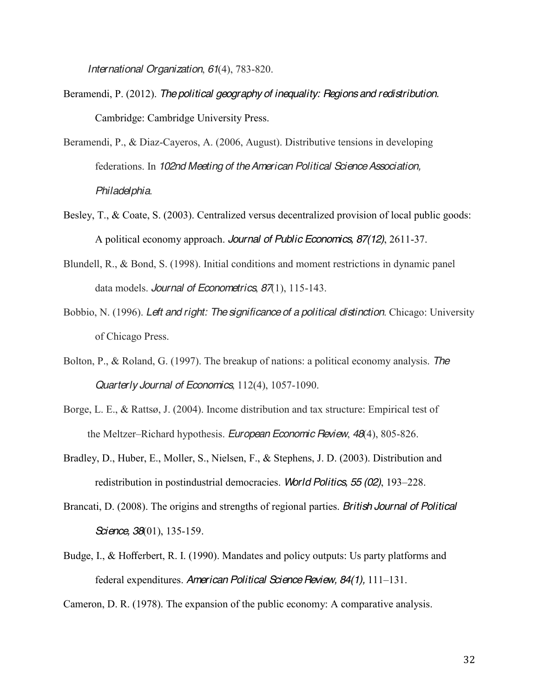*International Organization*, *61*(4), 783-820.

- Beramendi, P. (2012). *The political geography of inequality: Regions and redistribution.* Cambridge: Cambridge University Press.
- Beramendi, P., & Diaz-Cayeros, A. (2006, August). Distributive tensions in developing federations. In *102nd Meeting of the American Political Science Association, Philadelphia*.
- Besley, T., & Coate, S. (2003). Centralized versus decentralized provision of local public goods: A political economy approach. *Journal of Public Economics, 87(12)*, 2611-37.
- Blundell, R., & Bond, S. (1998). Initial conditions and moment restrictions in dynamic panel data models. *Journal of Econometrics*, *87*(1), 115-143.
- Bobbio, N. (1996). *Left and right: The significance of a political distinction*. Chicago: University of Chicago Press.
- Bolton, P., & Roland, G. (1997). The breakup of nations: a political economy analysis. *The Quarterly Journal of Economics*, 112(4), 1057-1090.
- Borge, L. E., & Rattsø, J. (2004). Income distribution and tax structure: Empirical test of the Meltzer-Richard hypothesis. *European Economic Review*, 48(4), 805-826.
- Bradley, D., Huber, E., Moller, S., Nielsen, F., & Stephens, J. D. (2003). Distribution and redistribution in postindustrial democracies. *World Politics*, 55 (02), 193–228.
- Brancati, D. (2008). The origins and strengths of regional parties. *British Journal of Political Science, 38*(01), 135-159.
- Budge, I., & Hofferbert, R. I. (1990). Mandates and policy outputs: Us party platforms and federal expenditures. *American Political Science Review, 84(1)*, 111-131.

Cameron, D. R. (1978). The expansion of the public economy: A comparative analysis.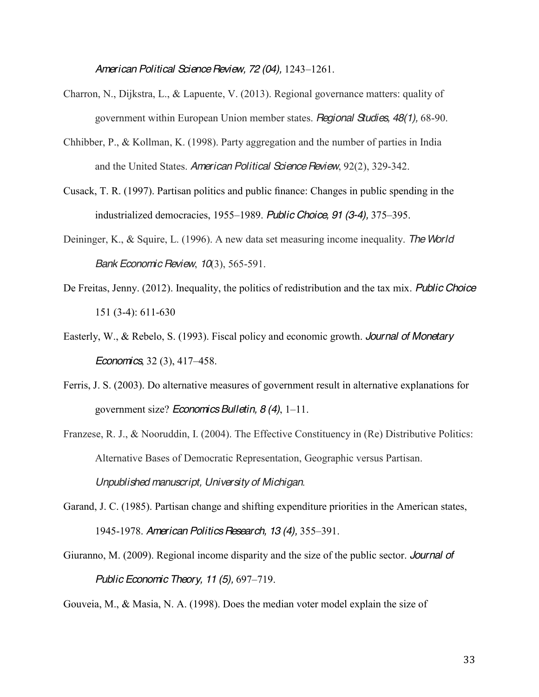*American Political Science Review, 72 (04), 1243-1261.* 

- Charron, N., Dijkstra, L., & Lapuente, V. (2013). Regional governance matters: quality of government within European Union member states. *Regional Studies, 48(1),* 68-90.
- Chhibber, P., & Kollman, K. (1998). Party aggregation and the number of parties in India and the United States. *American Political Science Review*, 92(2), 329-342.
- Cusack, T. R. (1997). Partisan politics and public finance: Changes in public spending in the industrialized democracies, 1955-1989. *Public Choice*, 91 (3-4), 375-395.
- Deininger, K., & Squire, L. (1996). A new data set measuring income inequality. *The World Bank Economic Review*, *10*(3), 565-591.
- De Freitas, Jenny. (2012). Inequality, the politics of redistribution and the tax mix. *Public Choice* 151 (3-4): 611-630
- Easterly, W., & Rebelo, S. (1993). Fiscal policy and economic growth. *Journal of Monetary Economics*, 32(3), 417–458.
- Ferris, J. S. (2003). Do alternative measures of government result in alternative explanations for government size? *Economics Bulletin, 8 (4)*, 1–11.
- Franzese, R. J., & Nooruddin, I. (2004). The Effective Constituency in (Re) Distributive Politics: Alternative Bases of Democratic Representation, Geographic versus Partisan. *Unpublished manuscript, University of Michigan*.
- Garand, J. C. (1985). Partisan change and shifting expenditure priorities in the American states, 1945-1978. *American Politics Research, 13 (4), 355-391.*
- Giuranno, M. (2009). Regional income disparity and the size of the public sector. *Journal of Public Economic Theory, 11 (5), 697–719.*

Gouveia, M., & Masia, N. A. (1998). Does the median voter model explain the size of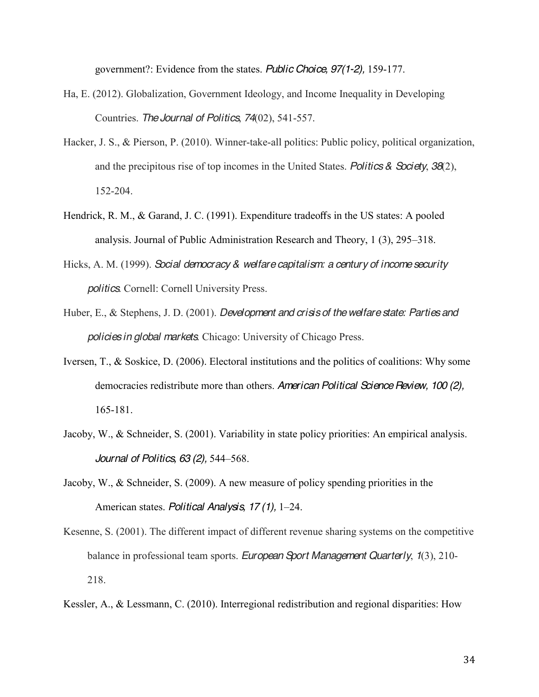government?: Evidence from the states. *Public Choice, 97(1-2),* 159-177.

- Ha, E. (2012). Globalization, Government Ideology, and Income Inequality in Developing Countries. *TheJournal of Politics*, *74*(02), 541-557.
- Hacker, J. S., & Pierson, P. (2010). Winner-take-all politics: Public policy, political organization, and the precipitous rise of top incomes in the United States. *Politics & Society*, *38*(2), 152-204.
- Hendrick, R. M., & Garand, J. C. (1991). Expenditure tradeoffs in the US states: A pooled analysis. Journal of Public Administration Research and Theory,  $1(3)$ ,  $295-318$ .
- Hicks, A. M. (1999). *Social democracy & welfare capitalism: a century of income security politics*. Cornell: Cornell University Press.
- Huber, E., & Stephens, J. D. (2001). *Development and crisis of the welfare state: Parties and policies in global markets*. Chicago: University of Chicago Press.
- Iversen, T., & Soskice, D. (2006). Electoral institutions and the politics of coalitions: Why some democracies redistribute more than others. *American Political Science Review, 100 (2),* 165-181.
- Jacoby, W., & Schneider, S. (2001). Variability in state policy priorities: An empirical analysis. *Journal of Politics, 63 (2), 544-568.*
- Jacoby, W., & Schneider, S. (2009). A new measure of policy spending priorities in the American states. *Political Analysis*, 17(1), 1–24.
- Kesenne, S. (2001). The different impact of different revenue sharing systems on the competitive balance in professional team sports. *European Sport Management Quarterly*, *1*(3), 210- 218.
- Kessler, A., & Lessmann, C. (2010). Interregional redistribution and regional disparities: How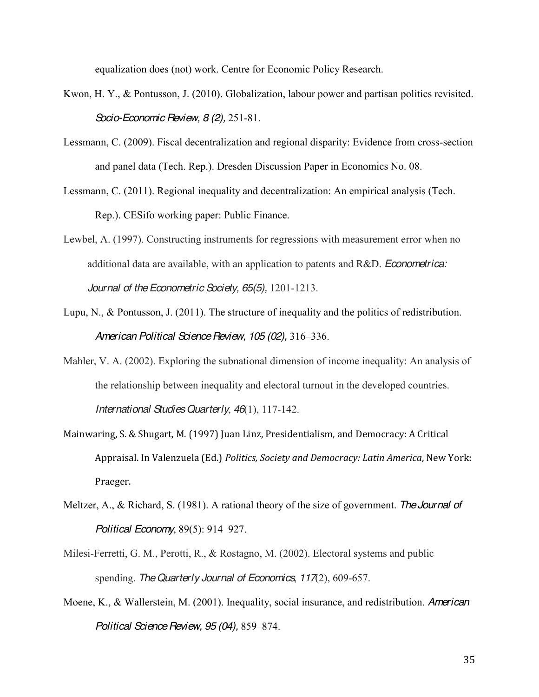equalization does (not) work. Centre for Economic Policy Research.

- Kwon, H. Y., & Pontusson, J. (2010). Globalization, labour power and partisan politics revisited. *Socio-Economic Review, 8 (2),* 251-81.
- Lessmann, C. (2009). Fiscal decentralization and regional disparity: Evidence from cross-section and panel data (Tech. Rep.). Dresden Discussion Paper in Economics No. 08.
- Lessmann, C. (2011). Regional inequality and decentralization: An empirical analysis (Tech. Rep.). CESifo working paper: Public Finance.
- Lewbel, A. (1997). Constructing instruments for regressions with measurement error when no additional data are available, with an application to patents and R&D. *Econometrica: Journal of the Econometric Society, 65(5),* 1201-1213.
- Lupu, N., & Pontusson, J. (2011). The structure of inequality and the politics of redistribution. American Political Science Review, 105 (02), 316-336.
- Mahler, V. A. (2002). Exploring the subnational dimension of income inequality: An analysis of the relationship between inequality and electoral turnout in the developed countries. *International Studies Quarterly*, *46*(1), 117-142.
- Mainwaring, S. & Shugart, M. (1997) Juan Linz, Presidentialism, and Democracy: A Critical Appraisal. In Valenzuela (Ed.) *Politics, Society and Democracy: Latin America*, New York: Praeger.
- Meltzer, A., & Richard, S. (1981). A rational theory of the size of government. *The Journal of Political Economy*, 89(5): 914-927.
- Milesi-Ferretti, G. M., Perotti, R., & Rostagno, M. (2002). Electoral systems and public spending. *The Quarterly Journal of Economics*, *117*(2), 609-657.
- Moene, K., & Wallerstein, M. (2001). Inequality, social insurance, and redistribution. *American Political Science Review, 95 (04), 859-874.*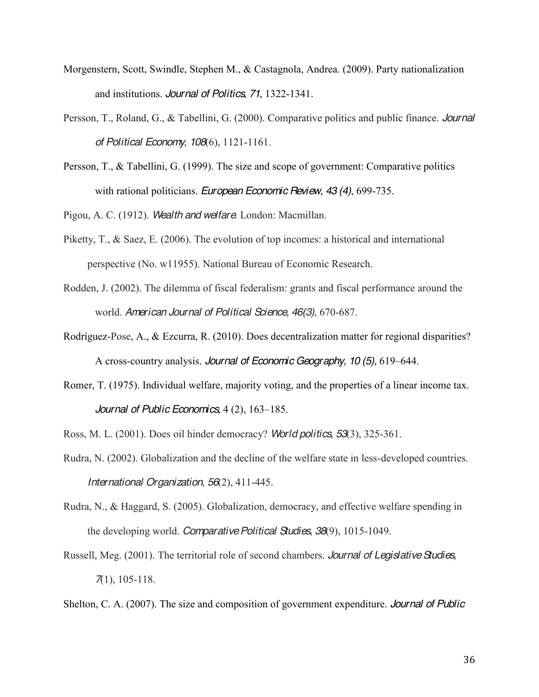- Morgenstern, Scott, Swindle, Stephen M., & Castagnola, Andrea. (2009). Party nationalization and institutions. *Journal of Politics*, *71*, 1322-1341.
- Persson, T., Roland, G., & Tabellini, G. (2000). Comparative politics and public finance. *Journal of Political Economy*, *108*(6), 1121-1161.
- Persson, T., & Tabellini, G. (1999). The size and scope of government: Comparative politics with rational politicians. *European Economic Review, 43 (4)*, 699-735.

Pigou, A. C. (1912). *Wealth and welfare*. London: Macmillan.

- Piketty, T., & Saez, E. (2006). The evolution of top incomes: a historical and international perspective (No. w11955). National Bureau of Economic Research.
- Rodden, J. (2002). The dilemma of fiscal federalism: grants and fiscal performance around the world. *American Journal of Political Science, 46(3)*, 670-687.
- Rodríguez-Pose, A., & Ezcurra, R. (2010). Does decentralization matter for regional disparities? A cross-country analysis. *Journal of Economic Geography, 10 (5), 619–644*.
- Romer, T. (1975). Individual welfare, majority voting, and the properties of a linear income tax. *Journal of Public Economics*, 4(2), 163-185.
- Ross, M. L. (2001). Does oil hinder democracy? *World politics*, *53*(3), 325-361.
- Rudra, N. (2002). Globalization and the decline of the welfare state in less-developed countries. *International Organization*, *56*(2), 411-445.
- Rudra, N., & Haggard, S. (2005). Globalization, democracy, and effective welfare spending in the developing world. *Comparative Political Studies*, *38*(9), 1015-1049.
- Russell, Meg. (2001). The territorial role of second chambers. *Journal of Legislative Studies, 7*(1), 105-118.

Shelton, C. A. (2007). The size and composition of government expenditure. *Journal of Public*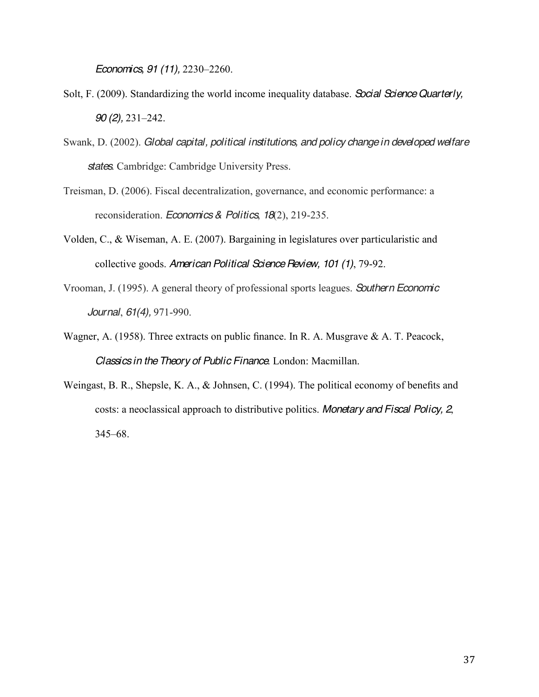*Economics, 91 (11), 2230-2260.* 

- Solt, F. (2009). Standardizing the world income inequality database. *Social Science Quarterly, 90 (2)*, 231–242.
- Swank, D. (2002). *Global capital, political institutions, and policy change in developed welfare states*. Cambridge: Cambridge University Press.
- Treisman, D. (2006). Fiscal decentralization, governance, and economic performance: a reconsideration. *Economics & Politics*, *18*(2), 219-235.
- Volden, C., & Wiseman, A. E. (2007). Bargaining in legislatures over particularistic and collective goods. *American Political Science Review, 101 (1)*, 79-92.
- Vrooman, J. (1995). A general theory of professional sports leagues. *Southern Economic Journal*, *61(4),* 971-990.
- Wagner, A. (1958). Three extracts on public finance. In R. A. Musgrave  $\&$  A. T. Peacock, *Classics in the Theory of Public Finance*. London: Macmillan.
- Weingast, B. R., Shepsle, K. A., & Johnsen, C. (1994). The political economy of benefits and costs: a neoclassical approach to distributive politics. *Monetary and Fiscal Policy, 2*,  $345 - 68$ .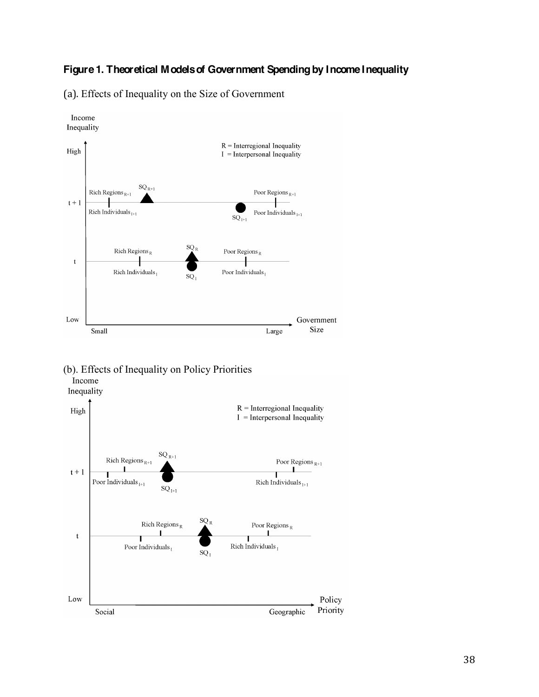# **Figure 1. Theoretical Modelsof Government Spending by Income Inequality**

(a).!Effects of Inequality on the Size of Government



(b). Effects of Inequality on Policy Priorities

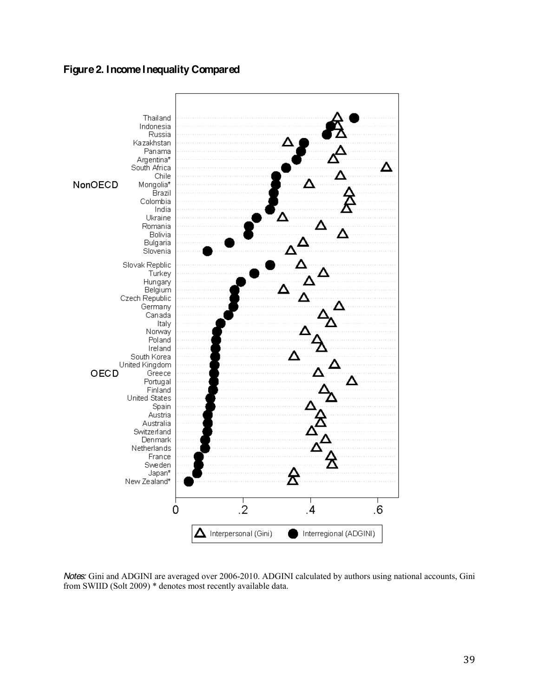# **Figure 2. Income Inequality Compared**



*Notes:* Gini and ADGINI are averaged over 2006-2010. ADGINI calculated by authors using national accounts, Gini from SWIID (Solt 2009) \* denotes most recently available data.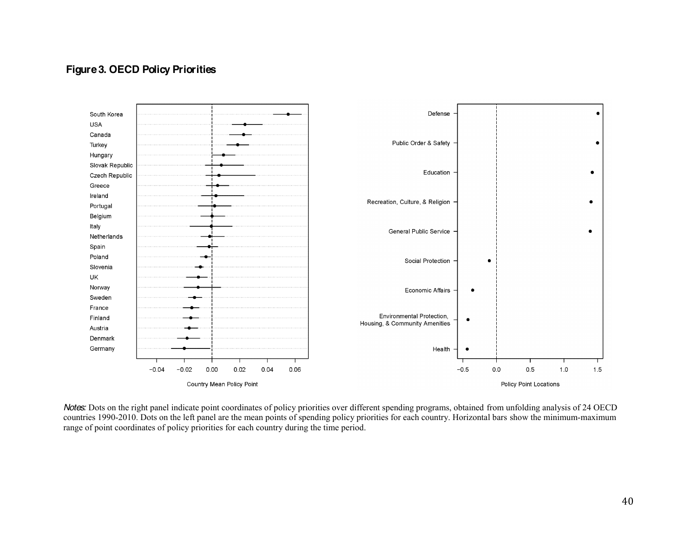# **Figure 3. OECD Policy Priorities**



*Notes:* Dots on the right panel indicate point coordinates of policy priorities over different spending programs, obtained from unfolding analysis of 24 OECD countries 1990-2010. Dots on the left panel are the mean points of spending policy priorities for each country. Horizontal bars show the minimum-maximum range of point coordinates of policy priorities for each country during the time period.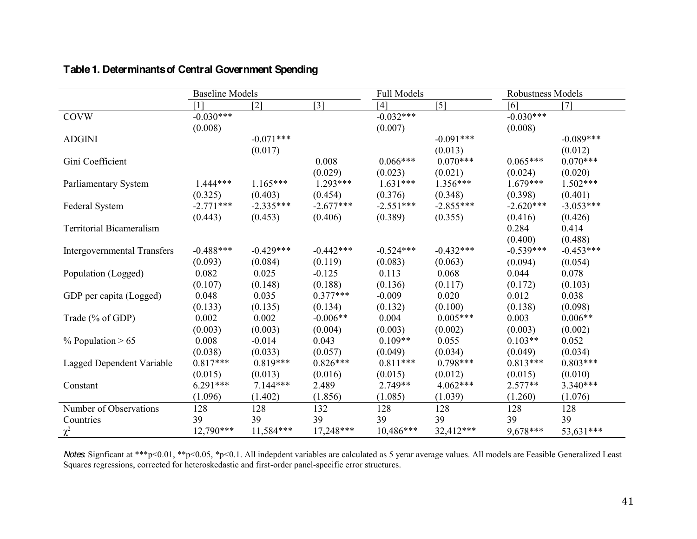|                                    | <b>Baseline Models</b> |                   |                   | <b>Full Models</b> |                   | Robustness Models |             |
|------------------------------------|------------------------|-------------------|-------------------|--------------------|-------------------|-------------------|-------------|
|                                    | [1]                    | $\lceil 2 \rceil$ | $\lceil 3 \rceil$ | [4]                | $\lceil 5 \rceil$ | [6]               | [7]         |
| <b>COVW</b>                        | $-0.030***$            |                   |                   | $-0.032***$        |                   | $-0.030***$       |             |
|                                    | (0.008)                |                   |                   | (0.007)            |                   | (0.008)           |             |
| <b>ADGINI</b>                      |                        | $-0.071***$       |                   |                    | $-0.091***$       |                   | $-0.089***$ |
|                                    |                        | (0.017)           |                   |                    | (0.013)           |                   | (0.012)     |
| Gini Coefficient                   |                        |                   | 0.008             | $0.066***$         | $0.070***$        | $0.065***$        | $0.070***$  |
|                                    |                        |                   | (0.029)           | (0.023)            | (0.021)           | (0.024)           | (0.020)     |
| Parliamentary System               | 1.444***               | $1.165***$        | $1.293***$        | $1.631***$         | $1.356***$        | $1.679***$        | $1.502***$  |
|                                    | (0.325)                | (0.403)           | (0.454)           | (0.376)            | (0.348)           | (0.398)           | (0.401)     |
| Federal System                     | $-2.771***$            | $-2.335***$       | $-2.677***$       | $-2.551***$        | $-2.855***$       | $-2.620***$       | $-3.053***$ |
|                                    | (0.443)                | (0.453)           | (0.406)           | (0.389)            | (0.355)           | (0.416)           | (0.426)     |
| <b>Territorial Bicameralism</b>    |                        |                   |                   |                    |                   | 0.284             | 0.414       |
|                                    |                        |                   |                   |                    |                   | (0.400)           | (0.488)     |
| <b>Intergovernmental Transfers</b> | $-0.488***$            | $-0.429***$       | $-0.442***$       | $-0.524***$        | $-0.432***$       | $-0.539***$       | $-0.453***$ |
|                                    | (0.093)                | (0.084)           | (0.119)           | (0.083)            | (0.063)           | (0.094)           | (0.054)     |
| Population (Logged)                | 0.082                  | 0.025             | $-0.125$          | 0.113              | 0.068             | 0.044             | 0.078       |
|                                    | (0.107)                | (0.148)           | (0.188)           | (0.136)            | (0.117)           | (0.172)           | (0.103)     |
| GDP per capita (Logged)            | 0.048                  | 0.035             | $0.377***$        | $-0.009$           | 0.020             | 0.012             | 0.038       |
|                                    | (0.133)                | (0.135)           | (0.134)           | (0.132)            | (0.100)           | (0.138)           | (0.098)     |
| Trade (% of GDP)                   | 0.002                  | 0.002             | $-0.006**$        | 0.004              | $0.005***$        | 0.003             | $0.006**$   |
|                                    | (0.003)                | (0.003)           | (0.004)           | (0.003)            | (0.002)           | (0.003)           | (0.002)     |
| $%$ Population > 65                | 0.008                  | $-0.014$          | 0.043             | $0.109**$          | 0.055             | $0.103**$         | 0.052       |
|                                    | (0.038)                | (0.033)           | (0.057)           | (0.049)            | (0.034)           | (0.049)           | (0.034)     |
| Lagged Dependent Variable          | $0.817***$             | $0.819***$        | $0.826***$        | $0.811***$         | $0.798***$        | $0.813***$        | $0.803***$  |
|                                    | (0.015)                | (0.013)           | (0.016)           | (0.015)            | (0.012)           | (0.015)           | (0.010)     |
| Constant                           | $6.291***$             | $7.144***$        | 2.489             | 2.749**            | $4.062***$        | $2.577**$         | $3.340***$  |
|                                    | (1.096)                | (1.402)           | (1.856)           | (1.085)            | (1.039)           | (1.260)           | (1.076)     |
| Number of Observations             | 128                    | 128               | 132               | 128                | 128               | 128               | 128         |
| Countries                          | 39                     | 39                | 39                | 39                 | 39                | 39                | 39          |
| $\chi^2$                           | 12,790***              | 11,584***         | 17,248***         | 10,486***          | 32,412***         | $9.678***$        | 53.631***   |

# **Table 1. Determinants of Central Government Spending**

*Notes*: Signficant at \*\*\*p<0.01, \*\*p<0.05, \*p<0.1. All indepdent variables are calculated as 5 yerar average values. All models are Feasible Generalized Least Squares regressions, corrected for heteroskedastic and first-order panel-specific error structures.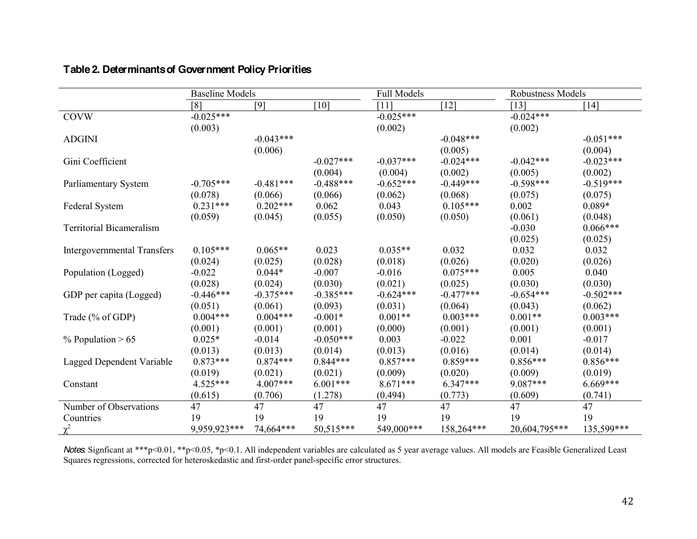|                                    | <b>Baseline Models</b> |             |             | <b>Full Models</b> |             | <b>Robustness Models</b> |             |
|------------------------------------|------------------------|-------------|-------------|--------------------|-------------|--------------------------|-------------|
|                                    | [8]                    | [9]         | $[10]$      | [11]               | $[12]$      | [13]                     | $[14]$      |
| <b>COVW</b>                        | $-0.025***$            |             |             | $-0.025***$        |             | $-0.024***$              |             |
|                                    | (0.003)                |             |             | (0.002)            |             | (0.002)                  |             |
| <b>ADGINI</b>                      |                        | $-0.043***$ |             |                    | $-0.048***$ |                          | $-0.051***$ |
|                                    |                        | (0.006)     |             |                    | (0.005)     |                          | (0.004)     |
| Gini Coefficient                   |                        |             | $-0.027***$ | $-0.037***$        | $-0.024***$ | $-0.042***$              | $-0.023***$ |
|                                    |                        |             | (0.004)     | (0.004)            | (0.002)     | (0.005)                  | (0.002)     |
| Parliamentary System               | $-0.705***$            | $-0.481***$ | $-0.488***$ | $-0.652***$        | $-0.449***$ | $-0.598***$              | $-0.519***$ |
|                                    | (0.078)                | (0.066)     | (0.066)     | (0.062)            | (0.068)     | (0.075)                  | (0.075)     |
| Federal System                     | $0.231***$             | $0.202***$  | 0.062       | 0.043              | $0.105***$  | 0.002                    | $0.089*$    |
|                                    | (0.059)                | (0.045)     | (0.055)     | (0.050)            | (0.050)     | (0.061)                  | (0.048)     |
| <b>Territorial Bicameralism</b>    |                        |             |             |                    |             | $-0.030$                 | $0.066***$  |
|                                    |                        |             |             |                    |             | (0.025)                  | (0.025)     |
| <b>Intergovernmental Transfers</b> | $0.105***$             | $0.065**$   | 0.023       | $0.035**$          | 0.032       | 0.032                    | 0.032       |
|                                    | (0.024)                | (0.025)     | (0.028)     | (0.018)            | (0.026)     | (0.020)                  | (0.026)     |
| Population (Logged)                | $-0.022$               | $0.044*$    | $-0.007$    | $-0.016$           | $0.075***$  | 0.005                    | 0.040       |
|                                    | (0.028)                | (0.024)     | (0.030)     | (0.021)            | (0.025)     | (0.030)                  | (0.030)     |
| GDP per capita (Logged)            | $-0.446***$            | $-0.375***$ | $-0.385***$ | $-0.624***$        | $-0.477***$ | $-0.654***$              | $-0.502***$ |
|                                    | (0.051)                | (0.061)     | (0.093)     | (0.031)            | (0.064)     | (0.043)                  | (0.062)     |
| Trade (% of GDP)                   | $0.004***$             | $0.004***$  | $-0.001*$   | $0.001**$          | $0.003***$  | $0.001**$                | $0.003***$  |
|                                    | (0.001)                | (0.001)     | (0.001)     | (0.000)            | (0.001)     | (0.001)                  | (0.001)     |
| $%$ Population > 65                | $0.025*$               | $-0.014$    | $-0.050***$ | 0.003              | $-0.022$    | 0.001                    | $-0.017$    |
|                                    | (0.013)                | (0.013)     | (0.014)     | (0.013)            | (0.016)     | (0.014)                  | (0.014)     |
| Lagged Dependent Variable          | $0.873***$             | $0.874***$  | $0.844***$  | $0.857***$         | $0.859***$  | $0.856***$               | $0.856***$  |
|                                    | (0.019)                | (0.021)     | (0.021)     | (0.009)            | (0.020)     | (0.009)                  | (0.019)     |
| Constant                           | $4.525***$             | $4.007***$  | $6.001***$  | $8.671***$         | $6.347***$  | 9.087***                 | $6.669***$  |
|                                    | (0.615)                | (0.706)     | (1.278)     | (0.494)            | (0.773)     | (0.609)                  | (0.741)     |
| Number of Observations             | 47                     | 47          | 47          | 47                 | 47          | 47                       | 47          |
| Countries                          | 19                     | 19          | 19          | 19                 | 19          | 19                       | 19          |
|                                    | 9.959.923***           | 74,664***   | 50,515***   | 549,000***         | 158,264***  | 20,604,795***            | 135,599***  |

# **Table 2. Determinants of Government Policy Priorities**

*Notes*: Signficant at \*\*\*p<0.01, \*\*p<0.05, \*p<0.1. All independent variables are calculated as 5 year average values. All models are Feasible Generalized Least Squares regressions, corrected for heteroskedastic and first-order panel-specific error structures.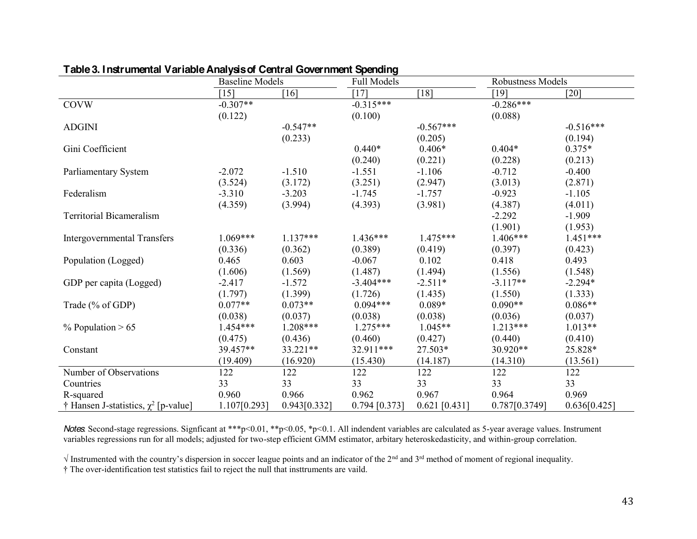|                                           | <b>Baseline Models</b> |              | <b>Full Models</b> |                    | <b>Robustness Models</b> |              |
|-------------------------------------------|------------------------|--------------|--------------------|--------------------|--------------------------|--------------|
|                                           | $\lceil 15 \rceil$     | [16]         | [17]               | $\lceil 18 \rceil$ | [19]                     | $[20]$       |
| <b>COVW</b>                               | $-0.307**$             |              | $-0.315***$        |                    | $-0.286***$              |              |
|                                           | (0.122)                |              | (0.100)            |                    | (0.088)                  |              |
| <b>ADGINI</b>                             |                        | $-0.547**$   |                    | $-0.567***$        |                          | $-0.516***$  |
|                                           |                        | (0.233)      |                    | (0.205)            |                          | (0.194)      |
| Gini Coefficient                          |                        |              | $0.440*$           | $0.406*$           | $0.404*$                 | $0.375*$     |
|                                           |                        |              | (0.240)            | (0.221)            | (0.228)                  | (0.213)      |
| Parliamentary System                      | $-2.072$               | $-1.510$     | $-1.551$           | $-1.106$           | $-0.712$                 | $-0.400$     |
|                                           | (3.524)                | (3.172)      | (3.251)            | (2.947)            | (3.013)                  | (2.871)      |
| Federalism                                | $-3.310$               | $-3.203$     | $-1.745$           | $-1.757$           | $-0.923$                 | $-1.105$     |
|                                           | (4.359)                | (3.994)      | (4.393)            | (3.981)            | (4.387)                  | (4.011)      |
| <b>Territorial Bicameralism</b>           |                        |              |                    |                    | $-2.292$                 | $-1.909$     |
|                                           |                        |              |                    |                    | (1.901)                  | (1.953)      |
| <b>Intergovernmental Transfers</b>        | $1.069***$             | $1.137***$   | $1.436***$         | $1.475***$         | $1.406***$               | $1.451***$   |
|                                           | (0.336)                | (0.362)      | (0.389)            | (0.419)            | (0.397)                  | (0.423)      |
| Population (Logged)                       | 0.465                  | 0.603        | $-0.067$           | 0.102              | 0.418                    | 0.493        |
|                                           | (1.606)                | (1.569)      | (1.487)            | (1.494)            | (1.556)                  | (1.548)      |
| GDP per capita (Logged)                   | $-2.417$               | $-1.572$     | $-3.404***$        | $-2.511*$          | $-3.117**$               | $-2.294*$    |
|                                           | (1.797)                | (1.399)      | (1.726)            | (1.435)            | (1.550)                  | (1.333)      |
| Trade (% of GDP)                          | $0.077**$              | $0.073**$    | $0.094***$         | $0.089*$           | $0.090**$                | $0.086**$    |
|                                           | (0.038)                | (0.037)      | (0.038)            | (0.038)            | (0.036)                  | (0.037)      |
| $\%$ Population > 65                      | $1.454***$             | $1.208***$   | $1.275***$         | $1.045**$          | $1.213***$               | $1.013**$    |
|                                           | (0.475)                | (0.436)      | (0.460)            | (0.427)            | (0.440)                  | (0.410)      |
| Constant                                  | 39.457**               | 33.221**     | 32.911***          | 27.503*            | 30.920**                 | 25.828*      |
|                                           | (19.409)               | (16.920)     | (15.430)           | (14.187)           | (14.310)                 | (13.561)     |
| Number of Observations                    | 122                    | 122          | 122                | 122                | 122                      | 122          |
| Countries                                 | 33                     | 33           | 33                 | 33                 | 33                       | 33           |
| R-squared                                 | 0.960                  | 0.966        | 0.962              | 0.967              | 0.964                    | 0.969        |
| † Hansen J-statistics, $\chi^2$ [p-value] | 1.107[0.293]           | 0.943[0.332] | $0.794$ [0.373]    | $0.621$ [0.431]    | 0.787[0.3749]            | 0.636[0.425] |

## **Table 3. Instrumental Variable Analysis of Central Government Spending**

*Notes*: Second-stage regressions. Signficant at \*\*\*p<0.01, \*\*p<0.05, \*p<0.1. All indendent variables are calculated as 5-year average values. Instrument variables regressions run for all models; adjusted for two-step efficient GMM estimator, arbitary heteroskedasticity, and within-group correlation.

 $\sqrt{X}$  Instrumented with the country's dispersion in soccer league points and an indicator of the 2<sup>nd</sup> and 3<sup>rd</sup> method of moment of regional inequality.

<sup>†</sup> The over-identification test statistics fail to reject the null that insttruments are vaild.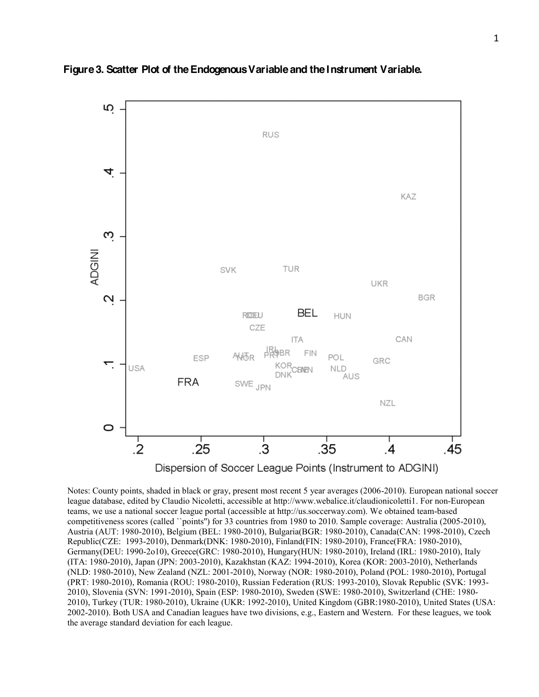

**Figure 3. Scatter Plot of the Endogenous Variable and the Instrument Variable.**

Dispersion of Soccer League Points (Instrument to ADGINI)

Notes: County points, shaded in black or gray, present most recent 5 year averages (2006-2010). European national soccer league database, edited by Claudio Nicoletti, accessible at http://www.webalice.it/claudionicoletti1. For non-European teams, we use a national soccer league portal (accessible at http://us.soccerway.com). We obtained team-based competitiveness scores (called ``points'') for 33 countries from 1980 to 2010. Sample coverage: Australia (2005-2010), Austria (AUT: 1980-2010), Belgium (BEL: 1980-2010), Bulgaria(BGR: 1980-2010), Canada(CAN: 1998-2010), Czech Republic(CZE: 1993-2010), Denmark(DNK: 1980-2010), Finland(FIN: 1980-2010), France(FRA: 1980-2010), Germany(DEU: 1990-2o10), Greece(GRC: 1980-2010), Hungary(HUN: 1980-2010), Ireland (IRL: 1980-2010), Italy (ITA: 1980-2010), Japan (JPN: 2003-2010), Kazakhstan (KAZ: 1994-2010), Korea (KOR: 2003-2010), Netherlands (NLD: 1980-2010), New Zealand (NZL: 2001-2010), Norway (NOR: 1980-2010), Poland (POL: 1980-2010), Portugal (PRT: 1980-2010), Romania (ROU: 1980-2010), Russian Federation (RUS: 1993-2010), Slovak Republic (SVK: 1993- 2010), Slovenia (SVN: 1991-2010), Spain (ESP: 1980-2010), Sweden (SWE: 1980-2010), Switzerland (CHE: 1980- 2010), Turkey (TUR: 1980-2010), Ukraine (UKR: 1992-2010), United Kingdom (GBR:1980-2010), United States (USA: 2002-2010). Both USA and Canadian leagues have two divisions, e.g., Eastern and Western. For these leagues, we took the average standard deviation for each league.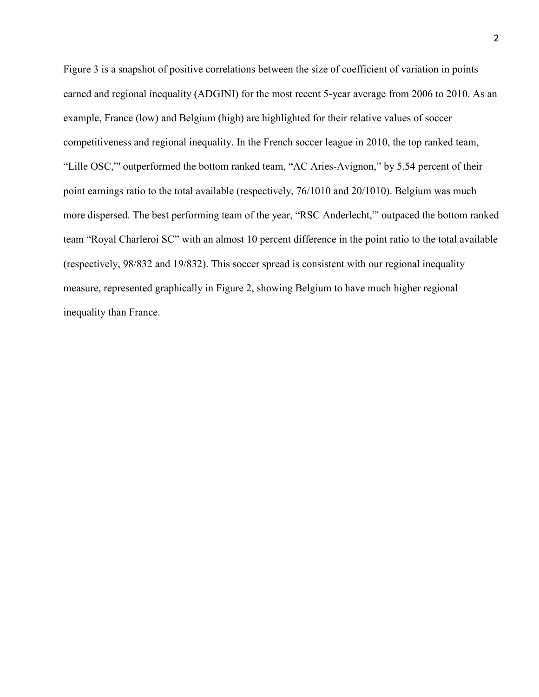Figure 3 is a snapshot of positive correlations between the size of coefficient of variation in points earned and regional inequality (ADGINI) for the most recent 5-year average from 2006 to 2010. As an example, France (low) and Belgium (high) are highlighted for their relative values of soccer competitiveness and regional inequality. In the French soccer league in 2010, the top ranked team, "Lille OSC," outperformed the bottom ranked team, "AC Aries-Avignon," by 5.54 percent of their point earnings ratio to the total available (respectively, 76/1010 and 20/1010). Belgium was much more dispersed. The best performing team of the year, "RSC Anderlecht," outpaced the bottom ranked team "Royal Charleroi SC" with an almost 10 percent difference in the point ratio to the total available (respectively, 98/832 and 19/832). This soccer spread is consistent with our regional inequality measure, represented graphically in Figure 2, showing Belgium to have much higher regional inequality than France.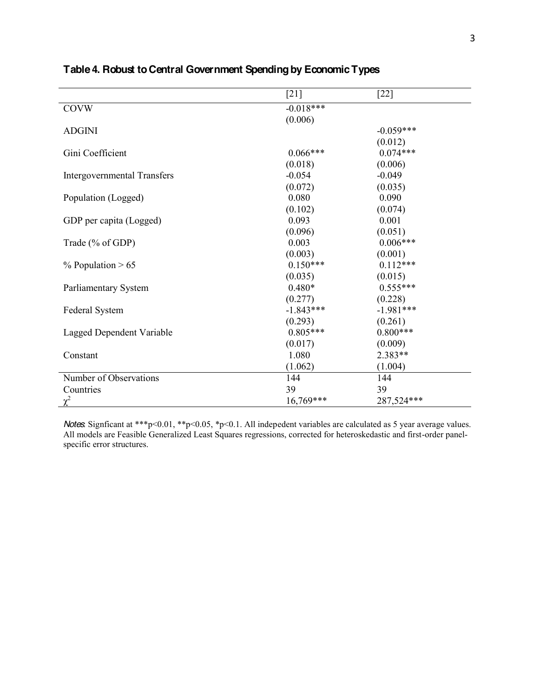|                                    | $[21]$      | $[22]$      |
|------------------------------------|-------------|-------------|
| <b>COVW</b>                        | $-0.018***$ |             |
|                                    | (0.006)     |             |
| <b>ADGINI</b>                      |             | $-0.059***$ |
|                                    |             | (0.012)     |
| Gini Coefficient                   | $0.066***$  | $0.074***$  |
|                                    | (0.018)     | (0.006)     |
| <b>Intergovernmental Transfers</b> | $-0.054$    | $-0.049$    |
|                                    | (0.072)     | (0.035)     |
| Population (Logged)                | 0.080       | 0.090       |
|                                    | (0.102)     | (0.074)     |
| GDP per capita (Logged)            | 0.093       | 0.001       |
|                                    | (0.096)     | (0.051)     |
| Trade (% of GDP)                   | 0.003       | $0.006***$  |
|                                    | (0.003)     | (0.001)     |
| $%$ Population > 65                | $0.150***$  | $0.112***$  |
|                                    | (0.035)     | (0.015)     |
| Parliamentary System               | $0.480*$    | $0.555***$  |
|                                    | (0.277)     | (0.228)     |
| Federal System                     | $-1.843***$ | $-1.981***$ |
|                                    | (0.293)     | (0.261)     |
| <b>Lagged Dependent Variable</b>   | $0.805***$  | $0.800***$  |
|                                    | (0.017)     | (0.009)     |
| Constant                           | 1.080       | 2.383**     |
|                                    | (1.062)     | (1.004)     |
| Number of Observations             | 144         | 144         |
| Countries                          | 39          | 39          |
| $\chi^2$                           | 16,769***   | 287,524***  |

# **Table 4. Robust to Central Government Spending by Economic Types**

*Notes*: Signficant at \*\*\*p<0.01, \*\*p<0.05, \*p<0.1. All indepedent variables are calculated as 5 year average values. All models are Feasible Generalized Least Squares regressions, corrected for heteroskedastic and first-order panelspecific error structures.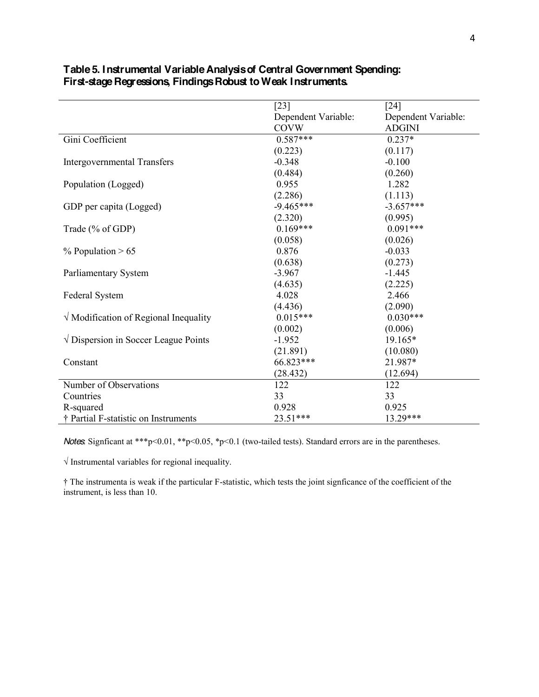|                                               | $[23]$              | $[24]$              |
|-----------------------------------------------|---------------------|---------------------|
|                                               | Dependent Variable: | Dependent Variable: |
|                                               | <b>COVW</b>         | <b>ADGINI</b>       |
| Gini Coefficient                              | $0.587***$          | $0.237*$            |
|                                               | (0.223)             | (0.117)             |
| <b>Intergovernmental Transfers</b>            | $-0.348$            | $-0.100$            |
|                                               | (0.484)             | (0.260)             |
| Population (Logged)                           | 0.955               | 1.282               |
|                                               | (2.286)             | (1.113)             |
| GDP per capita (Logged)                       | $-9.465***$         | $-3.657***$         |
|                                               | (2.320)             | (0.995)             |
| Trade (% of GDP)                              | $0.169***$          | $0.091***$          |
|                                               | (0.058)             | (0.026)             |
| $\%$ Population > 65                          | 0.876               | $-0.033$            |
|                                               | (0.638)             | (0.273)             |
| Parliamentary System                          | $-3.967$            | $-1.445$            |
|                                               | (4.635)             | (2.225)             |
| Federal System                                | 4.028               | 2.466               |
|                                               | (4.436)             | (2.090)             |
| $\sqrt{}$ Modification of Regional Inequality | $0.015***$          | $0.030***$          |
|                                               | (0.002)             | (0.006)             |
| $\sqrt{}$ Dispersion in Soccer League Points  | $-1.952$            | 19.165*             |
|                                               | (21.891)            | (10.080)            |
| Constant                                      | 66.823***           | 21.987*             |
|                                               | (28.432)            | (12.694)            |
| Number of Observations                        | 122                 | 122                 |
| Countries                                     | 33                  | 33                  |
| R-squared                                     | 0.928               | 0.925               |
| † Partial F-statistic on Instruments          | 23.51***            | 13.29***            |

## **Table 5. Instrumental Variable Analysis of Central Government Spending: First-stage Regressions, Findings Robust to Weak Instruments.**

*Notes*: Signficant at \*\*\*p<0.01, \*\*p<0.05, \*p<0.1 (two-tailed tests). Standard errors are in the parentheses.

 $\sqrt{}$  Instrumental variables for regional inequality.

 $\dagger$  The instrumenta is weak if the particular F-statistic, which tests the joint signficance of the coefficient of the instrument, is less than 10.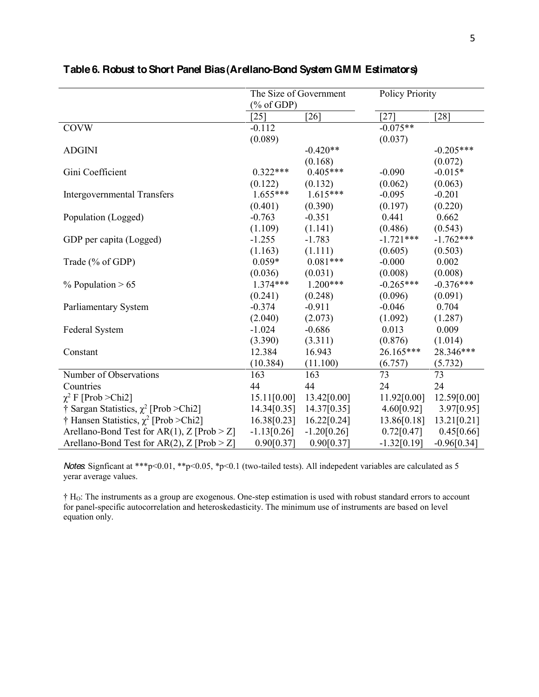|                                              | The Size of Government |               | <b>Policy Priority</b> |               |  |
|----------------------------------------------|------------------------|---------------|------------------------|---------------|--|
|                                              | $(\%$ of GDP)          |               |                        |               |  |
|                                              | $\lceil 25 \rceil$     | [26]          | $[27]$                 | [28]          |  |
| <b>COVW</b>                                  | $-0.112$               |               | $-0.075**$             |               |  |
|                                              | (0.089)                |               | (0.037)                |               |  |
| <b>ADGINI</b>                                |                        | $-0.420**$    |                        | $-0.205***$   |  |
|                                              |                        | (0.168)       |                        | (0.072)       |  |
| Gini Coefficient                             | $0.322***$             | $0.405***$    | $-0.090$               | $-0.015*$     |  |
|                                              | (0.122)                | (0.132)       | (0.062)                | (0.063)       |  |
| <b>Intergovernmental Transfers</b>           | $1.655***$             | $1.615***$    | $-0.095$               | $-0.201$      |  |
|                                              | (0.401)                | (0.390)       | (0.197)                | (0.220)       |  |
| Population (Logged)                          | $-0.763$               | $-0.351$      | 0.441                  | 0.662         |  |
|                                              | (1.109)                | (1.141)       | (0.486)                | (0.543)       |  |
| GDP per capita (Logged)                      | $-1.255$               | $-1.783$      | $-1.721***$            | $-1.762***$   |  |
|                                              | (1.163)                | (1.111)       | (0.605)                | (0.503)       |  |
| Trade (% of GDP)                             | $0.059*$               | $0.081***$    | $-0.000$               | 0.002         |  |
|                                              | (0.036)                | (0.031)       | (0.008)                | (0.008)       |  |
| $%$ Population > 65                          | $1.374***$             | $1.200***$    | $-0.265***$            | $-0.376***$   |  |
|                                              | (0.241)                | (0.248)       | (0.096)                | (0.091)       |  |
| Parliamentary System                         | $-0.374$               | $-0.911$      | $-0.046$               | 0.704         |  |
|                                              | (2.040)                | (2.073)       | (1.092)                | (1.287)       |  |
| Federal System                               | $-1.024$               | $-0.686$      | 0.013                  | 0.009         |  |
|                                              | (3.390)                | (3.311)       | (0.876)                | (1.014)       |  |
| Constant                                     | 12.384                 | 16.943        | 26.165***              | 28.346***     |  |
|                                              | (10.384)               | (11.100)      | (6.757)                | (5.732)       |  |
| Number of Observations                       | 163                    | 163           | 73                     | 73            |  |
| Countries                                    | 44                     | 44            | 24                     | 24            |  |
| $\chi^2$ F [Prob > Chi2]                     | 15.11[0.00]            | 13.42[0.00]   | 11.92[0.00]            | 12.59[0.00]   |  |
| † Sargan Statistics, $\chi^2$ [Prob > Chi2]  | 14.34[0.35]            | 14.37[0.35]   | 4.60[0.92]             | 3.97[0.95]    |  |
| † Hansen Statistics, $\chi^2$ [Prob > Chi2]  | 16.38[0.23]            | 16.22[0.24]   | 13.86[0.18]            | 13.21[0.21]   |  |
| Arellano-Bond Test for AR(1), $Z$ [Prob > Z] | $-1.13[0.26]$          | $-1.20[0.26]$ | 0.72[0.47]             | 0.45[0.66]    |  |
| Arellano-Bond Test for AR(2), Z [Prob $>$ Z] | 0.90[0.37]             | 0.90[0.37]    | $-1.32[0.19]$          | $-0.96[0.34]$ |  |

# **Table 6. Robust to Short Panel Bias (Arellano-Bond System GMM Estimators)**

*Notes*: Signficant at \*\*\*p<0.01, \*\*p<0.05, \*p<0.1 (two-tailed tests). All indepedent variables are calculated as 5 yerar average values.

 $\dagger$  H<sub>O</sub>: The instruments as a group are exogenous. One-step estimation is used with robust standard errors to account for panel-specific autocorrelation and heteroskedasticity. The minimum use of instruments are based on level equation only.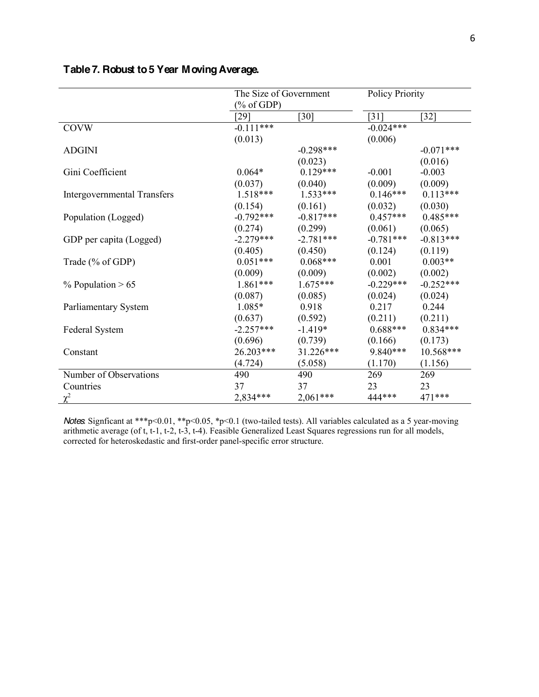|                                    | % of GDP    | The Size of Government |             | <b>Policy Priority</b> |
|------------------------------------|-------------|------------------------|-------------|------------------------|
|                                    | [29]        | $[30]$                 | $[31]$      | $[32]$                 |
| <b>COVW</b>                        | $-0.111***$ |                        | $-0.024***$ |                        |
|                                    | (0.013)     |                        | (0.006)     |                        |
| <b>ADGINI</b>                      |             | $-0.298***$            |             | $-0.071***$            |
|                                    |             | (0.023)                |             | (0.016)                |
| Gini Coefficient                   | $0.064*$    | $0.129***$             | $-0.001$    | $-0.003$               |
|                                    | (0.037)     | (0.040)                | (0.009)     | (0.009)                |
| <b>Intergovernmental Transfers</b> | $1.518***$  | $1.533***$             | $0.146***$  | $0.113***$             |
|                                    | (0.154)     | (0.161)                | (0.032)     | (0.030)                |
| Population (Logged)                | $-0.792***$ | $-0.817***$            | $0.457***$  | $0.485***$             |
|                                    | (0.274)     | (0.299)                | (0.061)     | (0.065)                |
| GDP per capita (Logged)            | $-2.279***$ | $-2.781***$            | $-0.781***$ | $-0.813***$            |
|                                    | (0.405)     | (0.450)                | (0.124)     | (0.119)                |
| Trade (% of GDP)                   | $0.051***$  | $0.068***$             | 0.001       | $0.003**$              |
|                                    | (0.009)     | (0.009)                | (0.002)     | (0.002)                |
| $%$ Population > 65                | 1.861***    | $1.675***$             | $-0.229***$ | $-0.252***$            |
|                                    | (0.087)     | (0.085)                | (0.024)     | (0.024)                |
| Parliamentary System               | 1.085*      | 0.918                  | 0.217       | 0.244                  |
|                                    | (0.637)     | (0.592)                | (0.211)     | (0.211)                |
| Federal System                     | $-2.257***$ | $-1.419*$              | $0.688***$  | $0.834***$             |
|                                    | (0.696)     | (0.739)                | (0.166)     | (0.173)                |
| Constant                           | 26.203***   | 31.226***              | 9.840***    | 10.568***              |
|                                    | (4.724)     | (5.058)                | (1.170)     | (1.156)                |
| Number of Observations             | 490         | 490                    | 269         | 269                    |
| Countries                          | 37          | 37                     | 23          | 23                     |
| $\chi^2$                           | 2,834***    | $2,061***$             | 444***      | 471 ***                |

# **Table 7. Robust to 5 Year Moving Average.**

*Notes*: Signficant at \*\*\*p<0.01, \*\*p<0.05, \*p<0.1 (two-tailed tests). All variables calculated as a 5 year-moving arithmetic average (of t, t-1, t-2, t-3, t-4). Feasible Generalized Least Squares regressions run for all models, corrected for heteroskedastic and first-order panel-specific error structure.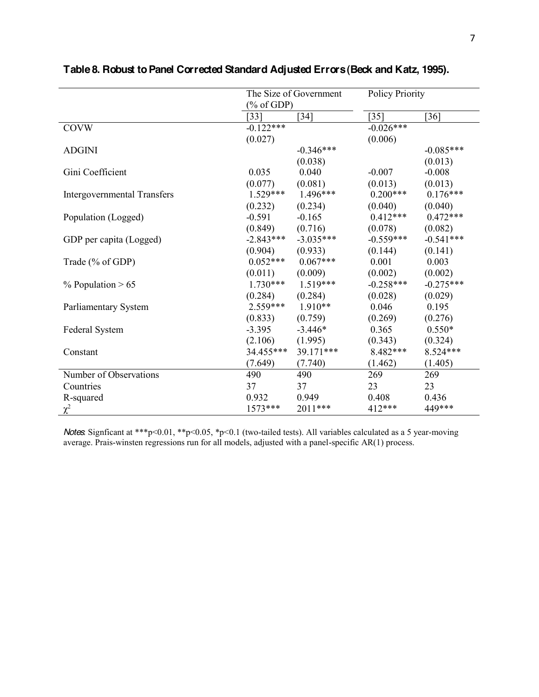|                                    | The Size of Government                                                                      |             | <b>Policy Priority</b> |             |
|------------------------------------|---------------------------------------------------------------------------------------------|-------------|------------------------|-------------|
|                                    | $(% \mathcal{O}(\mathcal{O}_{0})\rightarrow \mathcal{O}_{0})$ of GDP)<br>$\lceil 33 \rceil$ | $[34]$      | $[35]$                 | [36]        |
| <b>COVW</b>                        | $-0.122***$                                                                                 |             | $-0.026***$            |             |
|                                    | (0.027)                                                                                     |             | (0.006)                |             |
| <b>ADGINI</b>                      |                                                                                             | $-0.346***$ |                        | $-0.085***$ |
|                                    |                                                                                             | (0.038)     |                        | (0.013)     |
| Gini Coefficient                   | 0.035                                                                                       | 0.040       | $-0.007$               | $-0.008$    |
|                                    | (0.077)                                                                                     | (0.081)     | (0.013)                | (0.013)     |
| <b>Intergovernmental Transfers</b> | $1.529***$                                                                                  | 1.496***    | $0.200***$             | $0.176***$  |
|                                    | (0.232)                                                                                     | (0.234)     | (0.040)                | (0.040)     |
| Population (Logged)                | $-0.591$                                                                                    | $-0.165$    | $0.412***$             | $0.472***$  |
|                                    | (0.849)                                                                                     | (0.716)     | (0.078)                | (0.082)     |
| GDP per capita (Logged)            | $-2.843***$                                                                                 | $-3.035***$ | $-0.559***$            | $-0.541***$ |
|                                    | (0.904)                                                                                     | (0.933)     | (0.144)                | (0.141)     |
| Trade (% of GDP)                   | $0.052***$                                                                                  | $0.067***$  | 0.001                  | 0.003       |
|                                    | (0.011)                                                                                     | (0.009)     | (0.002)                | (0.002)     |
| $\%$ Population > 65               | $1.730***$                                                                                  | $1.519***$  | $-0.258***$            | $-0.275***$ |
|                                    | (0.284)                                                                                     | (0.284)     | (0.028)                | (0.029)     |
| <b>Parliamentary System</b>        | $2.559***$                                                                                  | $1.910**$   | 0.046                  | 0.195       |
|                                    | (0.833)                                                                                     | (0.759)     | (0.269)                | (0.276)     |
| Federal System                     | $-3.395$                                                                                    | $-3.446*$   | 0.365                  | $0.550*$    |
|                                    | (2.106)                                                                                     | (1.995)     | (0.343)                | (0.324)     |
| Constant                           | 34.455***                                                                                   | 39.171***   | 8.482***               | 8.524***    |
|                                    | (7.649)                                                                                     | (7.740)     | (1.462)                | (1.405)     |
| Number of Observations             | 490                                                                                         | 490         | 269                    | 269         |
| Countries                          | 37                                                                                          | 37          | 23                     | 23          |
| R-squared                          | 0.932                                                                                       | 0.949       | 0.408                  | 0.436       |
| $\chi^2$                           | 1573***                                                                                     | 2011***     | 412***                 | 449***      |

# **Table 8. Robust to Panel Corrected Standard Adjusted Errors(Beck and Katz, 1995).**

*Notes*: Signficant at \*\*\*p<0.01, \*\*p<0.05, \*p<0.1 (two-tailed tests). All variables calculated as a 5 year-moving average. Prais-winsten regressions run for all models, adjusted with a panel-specific AR(1) process.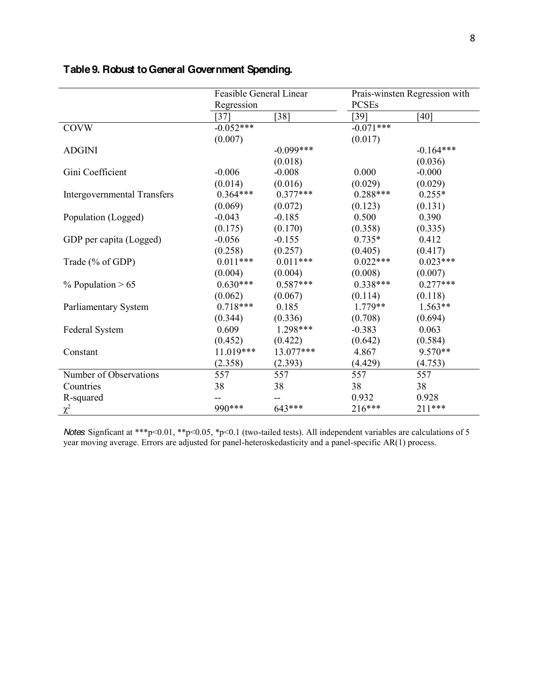|                                    | Feasible General Linear |             | Prais-winsten Regression with |             |  |  |
|------------------------------------|-------------------------|-------------|-------------------------------|-------------|--|--|
|                                    | Regression              |             | <b>PCSEs</b>                  |             |  |  |
|                                    | $\left[37\right]$       | $38$ ]      | [39]                          | [40]        |  |  |
| <b>COVW</b>                        | $-0.052***$             |             | $-0.071***$                   |             |  |  |
|                                    | (0.007)                 |             | (0.017)                       |             |  |  |
| <b>ADGINI</b>                      |                         | $-0.099***$ |                               | $-0.164***$ |  |  |
|                                    |                         | (0.018)     |                               | (0.036)     |  |  |
| Gini Coefficient                   | $-0.006$                | $-0.008$    | 0.000                         | $-0.000$    |  |  |
|                                    | (0.014)                 | (0.016)     | (0.029)                       | (0.029)     |  |  |
| <b>Intergovernmental Transfers</b> | $0.364***$              | $0.377***$  | $0.288***$                    | $0.255*$    |  |  |
|                                    | (0.069)                 | (0.072)     | (0.123)                       | (0.131)     |  |  |
| Population (Logged)                | $-0.043$                | $-0.185$    | 0.500                         | 0.390       |  |  |
|                                    | (0.175)                 | (0.170)     | (0.358)                       | (0.335)     |  |  |
| GDP per capita (Logged)            | $-0.056$                | $-0.155$    | $0.735*$                      | 0.412       |  |  |
|                                    | (0.258)                 | (0.257)     | (0.405)                       | (0.417)     |  |  |
| Trade (% of GDP)                   | $0.011***$              | $0.011***$  | $0.022***$                    | $0.023***$  |  |  |
|                                    | (0.004)                 | (0.004)     | (0.008)                       | (0.007)     |  |  |
| $%$ Population > 65                | $0.630***$              | $0.587***$  | $0.338***$                    | $0.277***$  |  |  |
|                                    | (0.062)                 | (0.067)     | (0.114)                       | (0.118)     |  |  |
| Parliamentary System               | $0.718***$              | 0.185       | $1.779**$                     | $1.563**$   |  |  |
|                                    | (0.344)                 | (0.336)     | (0.708)                       | (0.694)     |  |  |
| <b>Federal System</b>              | 0.609                   | 1.298***    | $-0.383$                      | 0.063       |  |  |
|                                    | (0.452)                 | (0.422)     | (0.642)                       | (0.584)     |  |  |
| Constant                           | 11.019***               | 13.077***   | 4.867                         | 9.570**     |  |  |
|                                    | (2.358)                 | (2.393)     | (4.429)                       | (4.753)     |  |  |
| Number of Observations             | 557                     | 557         | 557                           | 557         |  |  |
| Countries                          | 38                      | 38          | 38                            | 38          |  |  |
| R-squared                          |                         |             | 0.932                         | 0.928       |  |  |
| $\chi^2$                           | 990 ***                 | 643***      | 216***                        | 211***      |  |  |

# **Table 9. Robust to General Government Spending.**

*Notes*: Signficant at \*\*\*p<0.01, \*\*p<0.05, \*p<0.1 (two-tailed tests). All independent variables are calculations of 5 year moving average. Errors are adjusted for panel-heteroskedasticity and a panel-specific AR(1) process.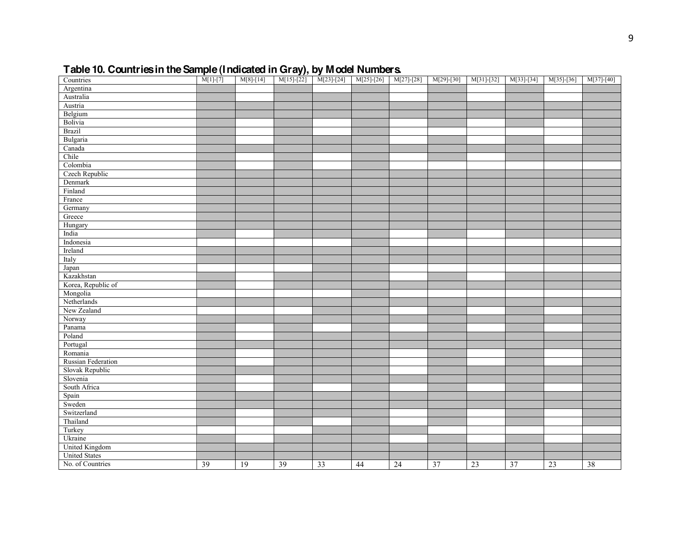# **Table 10. Countries in the Sample (Indicated in Gray), by Model Numbers.**

| M[1]-[7] M[8]-[14] M[15]-[22] M[23]-[24] M[27]-[28] M[27]-[28] M[29]-[30] M[31]-[32] M[33]-[34] M[35]-[36]<br>Countries |    |                 |    |    |    |                 |                 |    |                 |    | $M[37]-[40]$ |
|-------------------------------------------------------------------------------------------------------------------------|----|-----------------|----|----|----|-----------------|-----------------|----|-----------------|----|--------------|
| Argentina                                                                                                               |    |                 |    |    |    |                 |                 |    |                 |    |              |
| Australia                                                                                                               |    |                 |    |    |    |                 |                 |    |                 |    |              |
| Austria                                                                                                                 |    |                 |    |    |    |                 |                 |    |                 |    |              |
| Belgium                                                                                                                 |    |                 |    |    |    |                 |                 |    |                 |    |              |
| Bolivia                                                                                                                 |    |                 |    |    |    |                 |                 |    |                 |    |              |
| <b>Brazil</b>                                                                                                           |    |                 |    |    |    |                 |                 |    |                 |    |              |
| Bulgaria                                                                                                                |    |                 |    |    |    |                 |                 |    |                 |    |              |
| Canada                                                                                                                  |    |                 |    |    |    |                 |                 |    |                 |    |              |
| Chile                                                                                                                   |    |                 |    |    |    |                 |                 |    |                 |    |              |
| Colombia                                                                                                                |    |                 |    |    |    |                 |                 |    |                 |    |              |
| Czech Republic                                                                                                          |    |                 |    |    |    |                 |                 |    |                 |    |              |
| Denmark                                                                                                                 |    |                 |    |    |    |                 |                 |    |                 |    |              |
| Finland                                                                                                                 |    |                 |    |    |    |                 |                 |    |                 |    |              |
| France                                                                                                                  |    |                 |    |    |    |                 |                 |    |                 |    |              |
| Germany                                                                                                                 |    |                 |    |    |    |                 |                 |    |                 |    |              |
| Greece                                                                                                                  |    |                 |    |    |    |                 |                 |    |                 |    |              |
| Hungary                                                                                                                 |    |                 |    |    |    |                 |                 |    |                 |    |              |
| India                                                                                                                   |    |                 |    |    |    |                 |                 |    |                 |    |              |
| Indonesia                                                                                                               |    |                 |    |    |    |                 |                 |    |                 |    |              |
| Ireland                                                                                                                 |    |                 |    |    |    |                 |                 |    |                 |    |              |
| Italy                                                                                                                   |    |                 |    |    |    |                 |                 |    |                 |    |              |
| Japan                                                                                                                   |    |                 |    |    |    |                 |                 |    |                 |    |              |
| Kazakhstan                                                                                                              |    |                 |    |    |    |                 |                 |    |                 |    |              |
| Korea, Republic of                                                                                                      |    |                 |    |    |    |                 |                 |    |                 |    |              |
| Mongolia                                                                                                                |    |                 |    |    |    |                 |                 |    |                 |    |              |
| Netherlands                                                                                                             |    |                 |    |    |    |                 |                 |    |                 |    |              |
| New Zealand                                                                                                             |    |                 |    |    |    |                 |                 |    |                 |    |              |
| Norway                                                                                                                  |    |                 |    |    |    |                 |                 |    |                 |    |              |
| Panama                                                                                                                  |    |                 |    |    |    |                 |                 |    |                 |    |              |
| Poland                                                                                                                  |    |                 |    |    |    |                 |                 |    |                 |    |              |
| Portugal                                                                                                                |    |                 |    |    |    |                 |                 |    |                 |    |              |
| Romania                                                                                                                 |    |                 |    |    |    |                 |                 |    |                 |    |              |
| Russian Federation                                                                                                      |    |                 |    |    |    |                 |                 |    |                 |    |              |
| Slovak Republic                                                                                                         |    |                 |    |    |    |                 |                 |    |                 |    |              |
| Slovenia                                                                                                                |    |                 |    |    |    |                 |                 |    |                 |    |              |
| South Africa                                                                                                            |    |                 |    |    |    |                 |                 |    |                 |    |              |
| Spain                                                                                                                   |    |                 |    |    |    |                 |                 |    |                 |    |              |
| Sweden                                                                                                                  |    |                 |    |    |    |                 |                 |    |                 |    |              |
| Switzerland                                                                                                             |    |                 |    |    |    |                 |                 |    |                 |    |              |
| Thailand                                                                                                                |    |                 |    |    |    |                 |                 |    |                 |    |              |
| Turkey                                                                                                                  |    |                 |    |    |    |                 |                 |    |                 |    |              |
| Ukraine                                                                                                                 |    |                 |    |    |    |                 |                 |    |                 |    |              |
| <b>United Kingdom</b>                                                                                                   |    |                 |    |    |    |                 |                 |    |                 |    |              |
| <b>United States</b>                                                                                                    |    |                 |    |    |    |                 |                 |    |                 |    |              |
| No. of Countries                                                                                                        | 39 | $\overline{19}$ | 39 | 33 | 44 | $\overline{24}$ | $\overline{37}$ | 23 | $\overline{37}$ | 23 | 38           |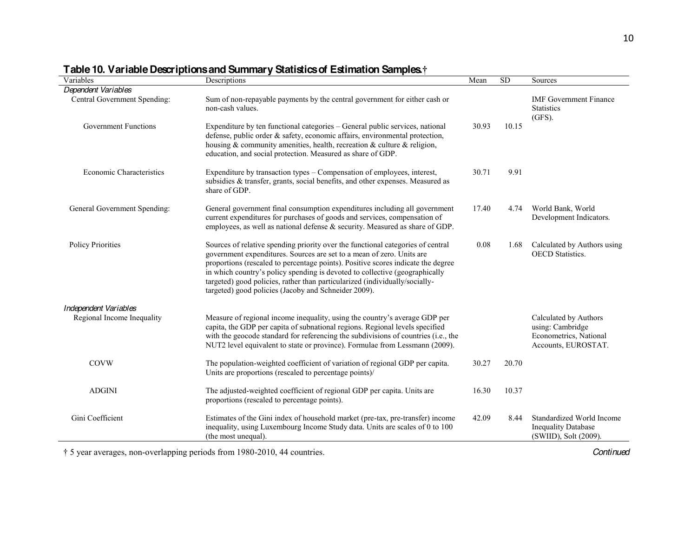| Variables                    | rable for variable bescriptions and cummany clausites of Estimation camples.<br>Descriptions                                                                                                                                                                                                                                                                                                                                                                       | Mean  | <b>SD</b> | Sources                                                                                    |
|------------------------------|--------------------------------------------------------------------------------------------------------------------------------------------------------------------------------------------------------------------------------------------------------------------------------------------------------------------------------------------------------------------------------------------------------------------------------------------------------------------|-------|-----------|--------------------------------------------------------------------------------------------|
| Dependent Variables          |                                                                                                                                                                                                                                                                                                                                                                                                                                                                    |       |           |                                                                                            |
| Central Government Spending: | Sum of non-repayable payments by the central government for either cash or<br>non-cash values.                                                                                                                                                                                                                                                                                                                                                                     |       |           | <b>IMF</b> Government Finance<br><b>Statistics</b><br>$(GFS)$ .                            |
| <b>Government Functions</b>  | Expenditure by ten functional categories - General public services, national<br>defense, public order & safety, economic affairs, environmental protection,<br>housing $\&$ community amenities, health, recreation $\&$ culture $\&$ religion,<br>education, and social protection. Measured as share of GDP.                                                                                                                                                     | 30.93 | 10.15     |                                                                                            |
| Economic Characteristics     | Expenditure by transaction types – Compensation of employees, interest,<br>subsidies & transfer, grants, social benefits, and other expenses. Measured as<br>share of GDP.                                                                                                                                                                                                                                                                                         | 30.71 | 9.91      |                                                                                            |
| General Government Spending: | General government final consumption expenditures including all government<br>current expenditures for purchases of goods and services, compensation of<br>employees, as well as national defense & security. Measured as share of GDP.                                                                                                                                                                                                                            | 17.40 | 4.74      | World Bank, World<br>Development Indicators.                                               |
| <b>Policy Priorities</b>     | Sources of relative spending priority over the functional categories of central<br>government expenditures. Sources are set to a mean of zero. Units are<br>proportions (rescaled to percentage points). Positive scores indicate the degree<br>in which country's policy spending is devoted to collective (geographically<br>targeted) good policies, rather than particularized (individually/socially-<br>targeted) good policies (Jacoby and Schneider 2009). | 0.08  | 1.68      | Calculated by Authors using<br><b>OECD</b> Statistics.                                     |
| Independent Variables        |                                                                                                                                                                                                                                                                                                                                                                                                                                                                    |       |           |                                                                                            |
| Regional Income Inequality   | Measure of regional income inequality, using the country's average GDP per<br>capita, the GDP per capita of subnational regions. Regional levels specified<br>with the geocode standard for referencing the subdivisions of countries (i.e., the<br>NUT2 level equivalent to state or province). Formulae from Lessmann (2009).                                                                                                                                    |       |           | Calculated by Authors<br>using: Cambridge<br>Econometrics, National<br>Accounts, EUROSTAT. |
| <b>COVW</b>                  | The population-weighted coefficient of variation of regional GDP per capita.<br>Units are proportions (rescaled to percentage points)/                                                                                                                                                                                                                                                                                                                             | 30.27 | 20.70     |                                                                                            |
| <b>ADGINI</b>                | The adjusted-weighted coefficient of regional GDP per capita. Units are<br>proportions (rescaled to percentage points).                                                                                                                                                                                                                                                                                                                                            | 16.30 | 10.37     |                                                                                            |
| Gini Coefficient             | Estimates of the Gini index of household market (pre-tax, pre-transfer) income<br>inequality, using Luxembourg Income Study data. Units are scales of 0 to 100<br>(the most unequal).                                                                                                                                                                                                                                                                              | 42.09 | 8.44      | Standardized World Income<br><b>Inequality Database</b><br>(SWIID), Solt (2009).           |

# **Table 10. Variable Descriptions and Summary Statistics of Estimation Samples.**

5 year averages, non-overlapping periods from 1980-2010, 44 countries. *Continued*